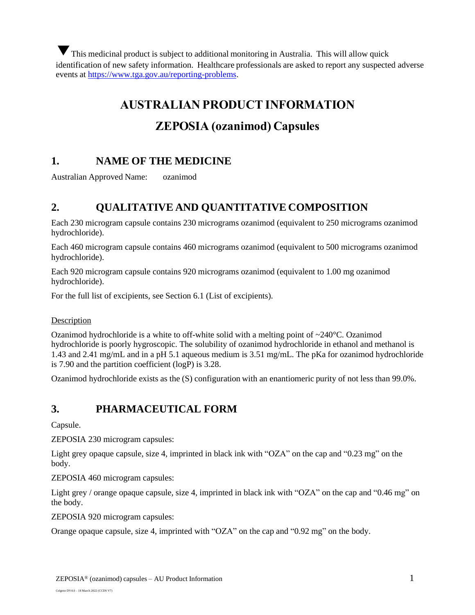This medicinal product is subject to additional monitoring in Australia. This will allow quick identification of new safety information. Healthcare professionals are asked to report any suspected adverse events at [https://www.tga.gov.au/reporting-problems.](https://www.tga.gov.au/reporting-problems)

# **AUSTRALIAN PRODUCT INFORMATION**

# **ZEPOSIA (ozanimod) Capsules**

# **1. NAME OF THE MEDICINE**

Australian Approved Name: ozanimod

# **2. QUALITATIVE AND QUANTITATIVE COMPOSITION**

Each 230 microgram capsule contains 230 micrograms ozanimod (equivalent to 250 micrograms ozanimod hydrochloride).

Each 460 microgram capsule contains 460 micrograms ozanimod (equivalent to 500 micrograms ozanimod hydrochloride).

Each 920 microgram capsule contains 920 micrograms ozanimod (equivalent to 1.00 mg ozanimod hydrochloride).

For the full list of excipients, see Section 6.1 (List of excipients).

#### **Description**

Ozanimod hydrochloride is a white to off-white solid with a melting point of  $\sim$ 240 $\degree$ C. Ozanimod hydrochloride is poorly hygroscopic. The solubility of ozanimod hydrochloride in ethanol and methanol is 1.43 and 2.41 mg/mL and in a pH 5.1 aqueous medium is 3.51 mg/mL. The pKa for ozanimod hydrochloride is 7.90 and the partition coefficient (logP) is 3.28.

Ozanimod hydrochloride exists as the (S) configuration with an enantiomeric purity of not less than 99.0%.

# **3. PHARMACEUTICAL FORM**

Capsule.

ZEPOSIA 230 microgram capsules:

Light grey opaque capsule, size 4, imprinted in black ink with "OZA" on the cap and "0.23 mg" on the body.

ZEPOSIA 460 microgram capsules:

Light grey / orange opaque capsule, size 4, imprinted in black ink with "OZA" on the cap and "0.46 mg" on the body.

ZEPOSIA 920 microgram capsules:

Orange opaque capsule, size 4, imprinted with "OZA" on the cap and "0.92 mg" on the body.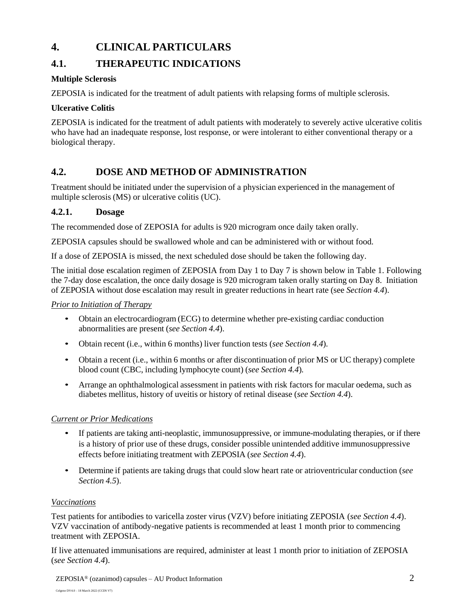# **4. CLINICAL PARTICULARS**

# **4.1. THERAPEUTIC INDICATIONS**

## **Multiple Sclerosis**

ZEPOSIA is indicated for the treatment of adult patients with relapsing forms of multiple sclerosis.

### **Ulcerative Colitis**

ZEPOSIA is indicated for the treatment of adult patients with moderately to severely active ulcerative colitis who have had an inadequate response, lost response, or were intolerant to either conventional therapy or a biological therapy.

# **4.2. DOSE AND METHOD OF ADMINISTRATION**

Treatment should be initiated under the supervision of a physician experienced in the management of multiple sclerosis (MS) or ulcerative colitis (UC).

## **4.2.1. Dosage**

The recommended dose of ZEPOSIA for adults is 920 microgram once daily taken orally.

ZEPOSIA capsules should be swallowed whole and can be administered with or without food.

If a dose of ZEPOSIA is missed, the next scheduled dose should be taken the following day.

The initial dose escalation regimen of ZEPOSIA from Day 1 to Day 7 is shown below in Table 1. Following the 7-day dose escalation, the once daily dosage is 920 microgram taken orally starting on Day 8. Initiation of ZEPOSIA without dose escalation may result in greater reductions in heart rate (see *Section 4.4*).

## *Prior to Initiation of Therapy*

- Obtain an electrocardiogram (ECG) to determine whether pre-existing cardiac conduction abnormalities are present (*see Section 4.4*).
- Obtain recent (i.e., within 6 months) liver function tests (*see Section 4.4*)*.*
- Obtain a recent (i.e., within 6 months or after discontinuation of prior MS or UC therapy) complete blood count (CBC, including lymphocyte count) (*see Section 4.4*)*.*
- Arrange an ophthalmological assessment in patients with risk factors for macular oedema, such as diabetes mellitus, history of uveitis or history of retinal disease (*see Section 4.4*).

## *Current or Prior Medications*

- If patients are taking anti-neoplastic, immunosuppressive, or immune-modulating therapies, or if there is a history of prior use of these drugs, consider possible unintended additive immunosuppressive effects before initiating treatment with ZEPOSIA (*see Section 4.4*).
- Determine if patients are taking drugs that could slow heart rate or atrioventricular conduction (*see Section 4.5*).

### *Vaccinations*

Test patients for antibodies to varicella zoster virus (VZV) before initiating ZEPOSIA (*see Section 4.4*). VZV vaccination of antibody-negative patients is recommended at least 1 month prior to commencing treatment with ZEPOSIA.

If live attenuated immunisations are required, administer at least 1 month prior to initiation of ZEPOSIA (*see Section 4.4*).

 $ZEPOSIA<sup>®</sup>$  (ozanimod) capsules – AU Product Information 2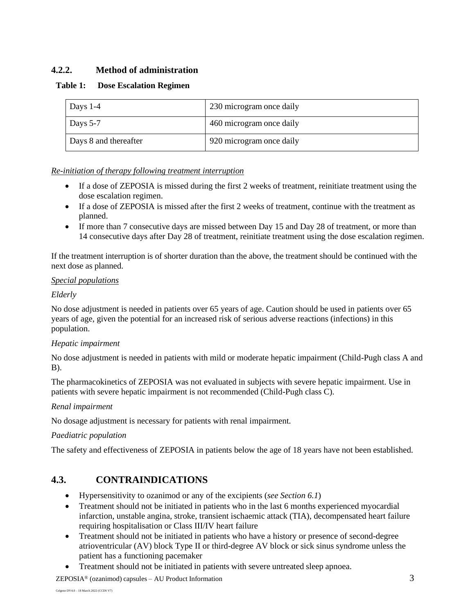## **4.2.2. Method of administration**

### **Table 1: Dose Escalation Regimen**

| Days 1-4              | 230 microgram once daily |
|-----------------------|--------------------------|
| Days 5-7              | 460 microgram once daily |
| Days 8 and thereafter | 920 microgram once daily |

#### *Re-initiation of therapy following treatment interruption*

- If a dose of ZEPOSIA is missed during the first 2 weeks of treatment, reinitiate treatment using the dose escalation regimen.
- If a dose of ZEPOSIA is missed after the first 2 weeks of treatment, continue with the treatment as planned.
- If more than 7 consecutive days are missed between Day 15 and Day 28 of treatment, or more than 14 consecutive days after Day 28 of treatment, reinitiate treatment using the dose escalation regimen.

If the treatment interruption is of shorter duration than the above, the treatment should be continued with the next dose as planned.

#### *Special populations*

#### *Elderly*

No dose adjustment is needed in patients over 65 years of age. Caution should be used in patients over 65 years of age, given the potential for an increased risk of serious adverse reactions (infections) in this population.

### *Hepatic impairment*

No dose adjustment is needed in patients with mild or moderate hepatic impairment (Child-Pugh class A and B).

The pharmacokinetics of ZEPOSIA was not evaluated in subjects with severe hepatic impairment. Use in patients with severe hepatic impairment is not recommended (Child-Pugh class C).

### *Renal impairment*

No dosage adjustment is necessary for patients with renal impairment.

#### *Paediatric population*

The safety and effectiveness of ZEPOSIA in patients below the age of 18 years have not been established.

# **4.3. CONTRAINDICATIONS**

- Hypersensitivity to ozanimod or any of the excipients (*see Section 6.1*)
- Treatment should not be initiated in patients who in the last 6 months experienced myocardial infarction, unstable angina, stroke, transient ischaemic attack (TIA), decompensated heart failure requiring hospitalisation or Class III/IV heart failure
- Treatment should not be initiated in patients who have a history or presence of second-degree atrioventricular (AV) block Type II or third-degree AV block or sick sinus syndrome unless the patient has a functioning pacemaker
- Treatment should not be initiated in patients with severe untreated sleep apnoea.

 $ZEPOSIA<sup>®</sup>$  (ozanimod) capsules – AU Product Information  $3$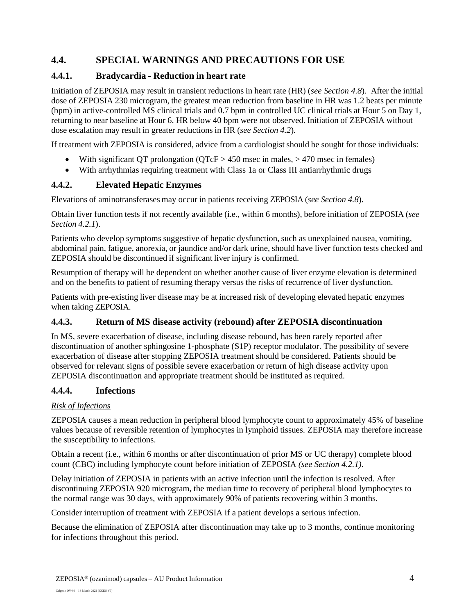# **4.4. SPECIAL WARNINGS AND PRECAUTIONS FOR USE**

## **4.4.1. Bradycardia - Reduction in heart rate**

Initiation of ZEPOSIA may result in transient reductions in heart rate (HR) (*see Section 4.8*). After the initial dose of ZEPOSIA 230 microgram, the greatest mean reduction from baseline in HR was 1.2 beats per minute (bpm) in active-controlled MS clinical trials and 0.7 bpm in controlled UC clinical trials at Hour 5 on Day 1, returning to near baseline at Hour 6. HR below 40 bpm were not observed. Initiation of ZEPOSIA without dose escalation may result in greater reductions in HR (*see Section 4.2*)*.*

If treatment with ZEPOSIA is considered, advice from a cardiologist should be sought for those individuals:

- With significant QT prolongation ( $QTcF > 450$  msec in males,  $> 470$  msec in females)
- With arrhythmias requiring treatment with Class 1a or Class III antiarrhythmic drugs

## **4.4.2. Elevated Hepatic Enzymes**

Elevations of aminotransferases may occur in patients receiving ZEPOSIA (*see Section 4.8*).

Obtain liver function tests if not recently available (i.e., within 6 months), before initiation of ZEPOSIA (*see Section 4.2.1*).

Patients who develop symptoms suggestive of hepatic dysfunction, such as unexplained nausea, vomiting, abdominal pain, fatigue, anorexia, or jaundice and/or dark urine, should have liver function tests checked and ZEPOSIA should be discontinued if significant liver injury is confirmed.

Resumption of therapy will be dependent on whether another cause of liver enzyme elevation is determined and on the benefits to patient of resuming therapy versus the risks of recurrence of liver dysfunction.

Patients with pre-existing liver disease may be at increased risk of developing elevated hepatic enzymes when taking ZEPOSIA.

## **4.4.3. Return of MS disease activity (rebound) after ZEPOSIA discontinuation**

In MS, severe exacerbation of disease, including disease rebound, has been rarely reported after discontinuation of another sphingosine 1-phosphate (S1P) receptor modulator. The possibility of severe exacerbation of disease after stopping ZEPOSIA treatment should be considered. Patients should be observed for relevant signs of possible severe exacerbation or return of high disease activity upon ZEPOSIA discontinuation and appropriate treatment should be instituted as required.

### **4.4.4. Infections**

### *Risk of Infections*

ZEPOSIA causes a mean reduction in peripheral blood lymphocyte count to approximately 45% of baseline values because of reversible retention of lymphocytes in lymphoid tissues. ZEPOSIA may therefore increase the susceptibility to infections.

Obtain a recent (i.e., within 6 months or after discontinuation of prior MS or UC therapy) complete blood count (CBC) including lymphocyte count before initiation of ZEPOSIA *(see Section 4.2.1)*.

Delay initiation of ZEPOSIA in patients with an active infection until the infection is resolved. After discontinuing ZEPOSIA 920 microgram, the median time to recovery of peripheral blood lymphocytes to the normal range was 30 days, with approximately 90% of patients recovering within 3 months.

Consider interruption of treatment with ZEPOSIA if a patient develops a serious infection.

Because the elimination of ZEPOSIA after discontinuation may take up to 3 months, continue monitoring for infections throughout this period.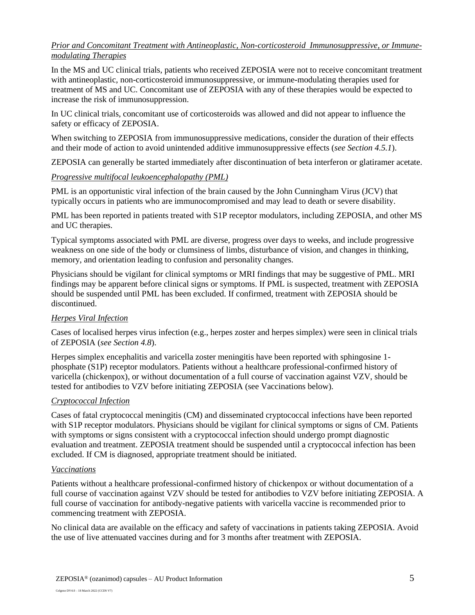#### *Prior and Concomitant Treatment with Antineoplastic, Non-corticosteroid Immunosuppressive, or Immunemodulating Therapies*

In the MS and UC clinical trials, patients who received ZEPOSIA were not to receive concomitant treatment with antineoplastic, non-corticosteroid immunosuppressive, or immune-modulating therapies used for treatment of MS and UC. Concomitant use of ZEPOSIA with any of these therapies would be expected to increase the risk of immunosuppression.

In UC clinical trials, concomitant use of corticosteroids was allowed and did not appear to influence the safety or efficacy of ZEPOSIA.

When switching to ZEPOSIA from immunosuppressive medications, consider the duration of their effects and their mode of action to avoid unintended additive immunosuppressive effects (*see Section 4.5.1*).

ZEPOSIA can generally be started immediately after discontinuation of beta interferon or glatiramer acetate.

#### *Progressive multifocal leukoencephalopathy (PML)*

PML is an opportunistic viral infection of the brain caused by the John Cunningham Virus (JCV) that typically occurs in patients who are immunocompromised and may lead to death or severe disability.

PML has been reported in patients treated with S1P receptor modulators, including ZEPOSIA, and other MS and UC therapies.

Typical symptoms associated with PML are diverse, progress over days to weeks, and include progressive weakness on one side of the body or clumsiness of limbs, disturbance of vision, and changes in thinking, memory, and orientation leading to confusion and personality changes.

Physicians should be vigilant for clinical symptoms or MRI findings that may be suggestive of PML. MRI findings may be apparent before clinical signs or symptoms. If PML is suspected, treatment with ZEPOSIA should be suspended until PML has been excluded. If confirmed, treatment with ZEPOSIA should be discontinued.

### *Herpes Viral Infection*

Cases of localised herpes virus infection (e.g., herpes zoster and herpes simplex) were seen in clinical trials of ZEPOSIA (*see Section 4.8*).

Herpes simplex encephalitis and varicella zoster meningitis have been reported with sphingosine 1 phosphate (S1P) receptor modulators. Patients without a healthcare professional-confirmed history of varicella (chickenpox), or without documentation of a full course of vaccination against VZV, should be tested for antibodies to VZV before initiating ZEPOSIA (see Vaccinations below).

#### *Cryptococcal Infection*

Cases of fatal cryptococcal meningitis (CM) and disseminated cryptococcal infections have been reported with S1P receptor modulators. Physicians should be vigilant for clinical symptoms or signs of CM. Patients with symptoms or signs consistent with a cryptococcal infection should undergo prompt diagnostic evaluation and treatment. ZEPOSIA treatment should be suspended until a cryptococcal infection has been excluded. If CM is diagnosed, appropriate treatment should be initiated.

#### *Vaccinations*

Patients without a healthcare professional-confirmed history of chickenpox or without documentation of a full course of vaccination against VZV should be tested for antibodies to VZV before initiating ZEPOSIA. A full course of vaccination for antibody-negative patients with varicella vaccine is recommended prior to commencing treatment with ZEPOSIA.

No clinical data are available on the efficacy and safety of vaccinations in patients taking ZEPOSIA. Avoid the use of live attenuated vaccines during and for 3 months after treatment with ZEPOSIA.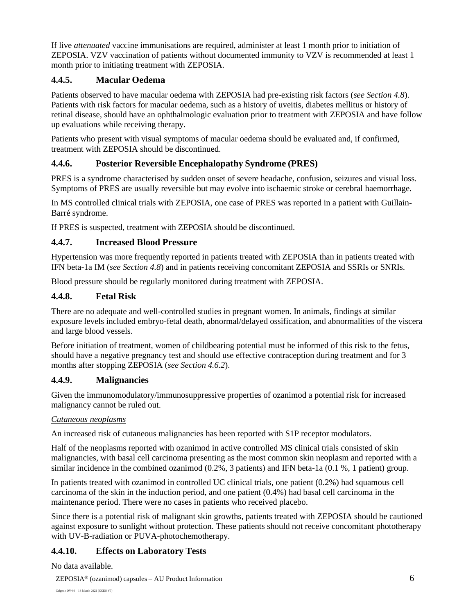If live *attenuated* vaccine immunisations are required, administer at least 1 month prior to initiation of ZEPOSIA. VZV vaccination of patients without documented immunity to VZV is recommended at least 1 month prior to initiating treatment with ZEPOSIA.

## **4.4.5. Macular Oedema**

Patients observed to have macular oedema with ZEPOSIA had pre-existing risk factors (*see Section 4.8*). Patients with risk factors for macular oedema, such as a history of uveitis, diabetes mellitus or history of retinal disease, should have an ophthalmologic evaluation prior to treatment with ZEPOSIA and have follow up evaluations while receiving therapy.

Patients who present with visual symptoms of macular oedema should be evaluated and, if confirmed, treatment with ZEPOSIA should be discontinued.

## **4.4.6. Posterior Reversible Encephalopathy Syndrome (PRES)**

PRES is a syndrome characterised by sudden onset of severe headache, confusion, seizures and visual loss. Symptoms of PRES are usually reversible but may evolve into ischaemic stroke or cerebral haemorrhage.

In MS controlled clinical trials with ZEPOSIA, one case of PRES was reported in a patient with Guillain-Barré syndrome.

If PRES is suspected, treatment with ZEPOSIA should be discontinued.

### **4.4.7. Increased Blood Pressure**

Hypertension was more frequently reported in patients treated with ZEPOSIA than in patients treated with IFN beta-1a IM (*see Section 4.8*) and in patients receiving concomitant ZEPOSIA and SSRIs or SNRIs.

Blood pressure should be regularly monitored during treatment with ZEPOSIA.

## **4.4.8. Fetal Risk**

There are no adequate and well-controlled studies in pregnant women. In animals, findings at similar exposure levels included embryo-fetal death, abnormal/delayed ossification, and abnormalities of the viscera and large blood vessels.

Before initiation of treatment, women of childbearing potential must be informed of this risk to the fetus, should have a negative pregnancy test and should use effective contraception during treatment and for 3 months after stopping ZEPOSIA (*see Section 4.6.2*).

### **4.4.9. Malignancies**

Given the immunomodulatory/immunosuppressive properties of ozanimod a potential risk for increased malignancy cannot be ruled out.

#### *Cutaneous neoplasms*

An increased risk of cutaneous malignancies has been reported with S1P receptor modulators.

Half of the neoplasms reported with ozanimod in active controlled MS clinical trials consisted of skin malignancies, with basal cell carcinoma presenting as the most common skin neoplasm and reported with a similar incidence in the combined ozanimod (0.2%, 3 patients) and IFN beta-1a (0.1 %, 1 patient) group.

In patients treated with ozanimod in controlled UC clinical trials, one patient (0.2%) had squamous cell carcinoma of the skin in the induction period, and one patient (0.4%) had basal cell carcinoma in the maintenance period. There were no cases in patients who received placebo.

Since there is a potential risk of malignant skin growths, patients treated with ZEPOSIA should be cautioned against exposure to sunlight without protection. These patients should not receive concomitant phototherapy with UV-B-radiation or PUVA-photochemotherapy.

# **4.4.10. Effects on Laboratory Tests**

No data available.

ZEPOSIA® (ozanimod) capsules – AU Product Information 6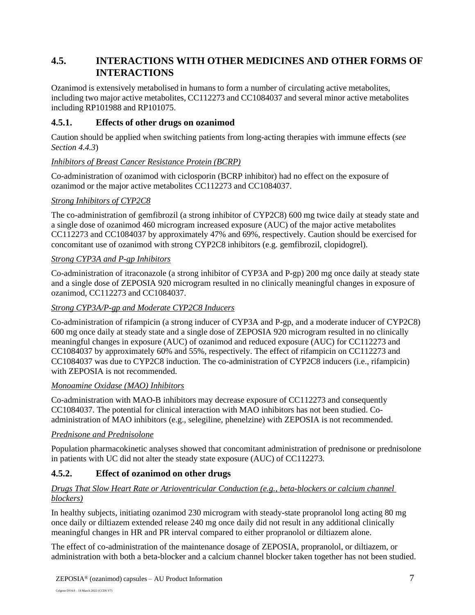# **4.5. INTERACTIONS WITH OTHER MEDICINES AND OTHER FORMS OF INTERACTIONS**

Ozanimod is extensively metabolised in humans to form a number of circulating active metabolites, including two major active metabolites, CC112273 and CC1084037 and several minor active metabolites including RP101988 and RP101075.

## **4.5.1. Effects of other drugs on ozanimod**

Caution should be applied when switching patients from long-acting therapies with immune effects (*see Section 4.4.3*)

### *Inhibitors of Breast Cancer Resistance Protein (BCRP)*

Co-administration of ozanimod with ciclosporin (BCRP inhibitor) had no effect on the exposure of ozanimod or the major active metabolites CC112273 and CC1084037.

### *Strong Inhibitors of CYP2C8*

The co-administration of gemfibrozil (a strong inhibitor of CYP2C8) 600 mg twice daily at steady state and a single dose of ozanimod 460 microgram increased exposure (AUC) of the major active metabolites CC112273 and CC1084037 by approximately 47% and 69%, respectively. Caution should be exercised for concomitant use of ozanimod with strong CYP2C8 inhibitors (e.g. gemfibrozil, clopidogrel).

#### *Strong CYP3A and P-gp Inhibitors*

Co-administration of itraconazole (a strong inhibitor of CYP3A and P-gp) 200 mg once daily at steady state and a single dose of ZEPOSIA 920 microgram resulted in no clinically meaningful changes in exposure of ozanimod, CC112273 and CC1084037.

#### *Strong CYP3A/P-gp and Moderate CYP2C8 Inducers*

Co-administration of rifampicin (a strong inducer of CYP3A and P-gp, and a moderate inducer of CYP2C8) 600 mg once daily at steady state and a single dose of ZEPOSIA 920 microgram resulted in no clinically meaningful changes in exposure (AUC) of ozanimod and reduced exposure (AUC) for CC112273 and CC1084037 by approximately 60% and 55%, respectively. The effect of rifampicin on CC112273 and CC1084037 was due to CYP2C8 induction. The co-administration of CYP2C8 inducers (i.e., rifampicin) with ZEPOSIA is not recommended.

#### *Monoamine Oxidase (MAO) Inhibitors*

Co-administration with MAO-B inhibitors may decrease exposure of CC112273 and consequently CC1084037. The potential for clinical interaction with MAO inhibitors has not been studied. Coadministration of MAO inhibitors (e.g., selegiline, phenelzine) with ZEPOSIA is not recommended.

### *Prednisone and Prednisolone*

Population pharmacokinetic analyses showed that concomitant administration of prednisone or prednisolone in patients with UC did not alter the steady state exposure (AUC) of CC112273.

### **4.5.2. Effect of ozanimod on other drugs**

## *Drugs That Slow Heart Rate or Atrioventricular Conduction (e.g., beta-blockers or calcium channel blockers)*

In healthy subjects, initiating ozanimod 230 microgram with steady-state propranolol long acting 80 mg once daily or diltiazem extended release 240 mg once daily did not result in any additional clinically meaningful changes in HR and PR interval compared to either propranolol or diltiazem alone.

The effect of co-administration of the maintenance dosage of ZEPOSIA, propranolol, or diltiazem, or administration with both a beta-blocker and a calcium channel blocker taken together has not been studied.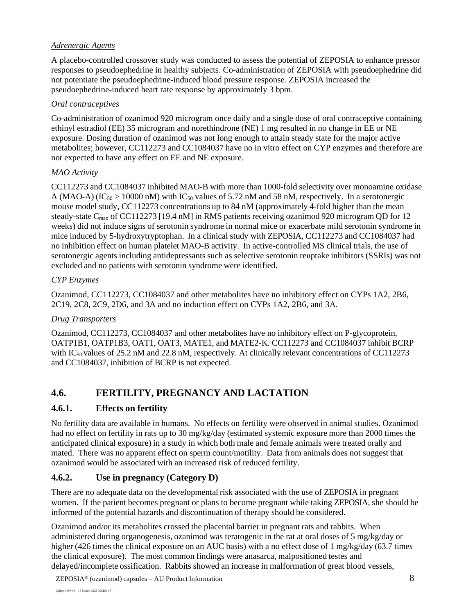### *Adrenergic Agents*

A placebo-controlled crossover study was conducted to assess the potential of ZEPOSIA to enhance pressor responses to pseudoephedrine in healthy subjects. Co-administration of ZEPOSIA with pseudoephedrine did not potentiate the pseudoephedrine-induced blood pressure response. ZEPOSIA increased the pseudoephedrine-induced heart rate response by approximately 3 bpm.

### *Oral contraceptives*

Co-administration of ozanimod 920 microgram once daily and a single dose of oral contraceptive containing ethinyl estradiol (EE) 35 microgram and norethindrone (NE) 1 mg resulted in no change in EE or NE exposure. Dosing duration of ozanimod was not long enough to attain steady state for the major active metabolites; however, CC112273 and CC1084037 have no in vitro effect on CYP enzymes and therefore are not expected to have any effect on EE and NE exposure.

## *MAO Activity*

CC112273 and CC1084037 inhibited MAO-B with more than 1000-fold selectivity over monoamine oxidase A (MAO-A) (IC<sub>50</sub> > 10000 nM) with IC<sub>50</sub> values of 5.72 nM and 58 nM, respectively. In a serotonergic mouse model study, CC112273 concentrations up to 84 nM (approximately 4-fold higher than the mean steady-state C<sub>max</sub> of CC112273 [19.4 nM] in RMS patients receiving ozanimod 920 microgram QD for 12 weeks) did not induce signs of serotonin syndrome in normal mice or exacerbate mild serotonin syndrome in mice induced by 5-hydroxytryptophan. In a clinical study with ZEPOSIA, CC112273 and CC1084037 had no inhibition effect on human platelet MAO-B activity. In active-controlled MS clinical trials, the use of serotonergic agents including antidepressants such as selective serotonin reuptake inhibitors (SSRIs) was not excluded and no patients with serotonin syndrome were identified.

## *CYP Enzymes*

Ozanimod, CC112273, CC1084037 and other metabolites have no inhibitory effect on CYPs 1A2, 2B6, 2C19, 2C8, 2C9, 2D6, and 3A and no induction effect on CYPs 1A2, 2B6, and 3A.

## *Drug Transporters*

Ozanimod, CC112273, CC1084037 and other metabolites have no inhibitory effect on P-glycoprotein, OATP1B1, OATP1B3, OAT1, OAT3, MATE1, and MATE2-K. CC112273 and CC1084037 inhibit BCRP with IC<sub>50</sub> values of 25.2 nM and 22.8 nM, respectively. At clinically relevant concentrations of CC112273 and CC1084037, inhibition of BCRP is not expected.

# **4.6. FERTILITY, PREGNANCY AND LACTATION**

## **4.6.1. Effects on fertility**

No fertility data are available in humans. No effects on fertility were observed in animal studies. Ozanimod had no effect on fertility in rats up to 30 mg/kg/day (estimated systemic exposure more than 2000 times the anticipated clinical exposure) in a study in which both male and female animals were treated orally and mated. There was no apparent effect on sperm count/motility. Data from animals does not suggest that ozanimod would be associated with an increased risk of reduced fertility.

# **4.6.2. Use in pregnancy (Category D)**

There are no adequate data on the developmental risk associated with the use of ZEPOSIA in pregnant women. If the patient becomes pregnant or plans to become pregnant while taking ZEPOSIA, she should be informed of the potential hazards and discontinuation of therapy should be considered.

Ozanimod and/or its metabolites crossed the placental barrier in pregnant rats and rabbits. When administered during organogenesis, ozanimod was teratogenic in the rat at oral doses of 5 mg/kg/day or higher (426 times the clinical exposure on an AUC basis) with a no effect dose of 1 mg/kg/day (63.7 times the clinical exposure). The most common findings were anasarca, malpositioned testes and delayed/incomplete ossification. Rabbits showed an increase in malformation of great blood vessels,

ZEPOSIA® (ozanimod) capsules – AU Product Information 8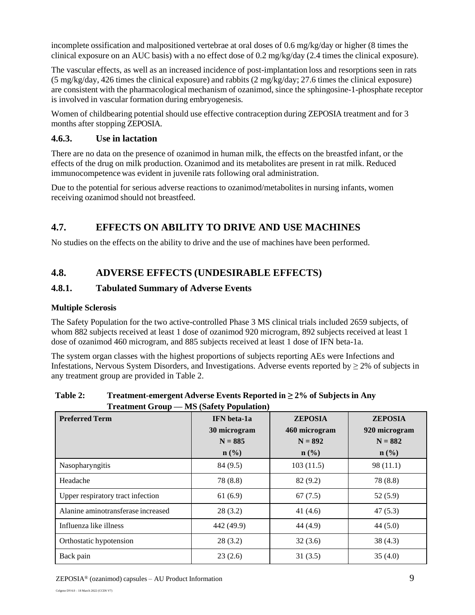incomplete ossification and malpositioned vertebrae at oral doses of 0.6 mg/kg/day or higher (8 times the clinical exposure on an AUC basis) with a no effect dose of 0.2 mg/kg/day (2.4 times the clinical exposure).

The vascular effects, as well as an increased incidence of post-implantation loss and resorptions seen in rats (5 mg/kg/day, 426 times the clinical exposure) and rabbits (2 mg/kg/day; 27.6 times the clinical exposure) are consistent with the pharmacological mechanism of ozanimod, since the sphingosine-1-phosphate receptor is involved in vascular formation during embryogenesis.

Women of childbearing potential should use effective contraception during ZEPOSIA treatment and for 3 months after stopping ZEPOSIA.

### **4.6.3. Use in lactation**

There are no data on the presence of ozanimod in human milk, the effects on the breastfed infant, or the effects of the drug on milk production. Ozanimod and its metabolites are present in rat milk. Reduced immunocompetence was evident in juvenile rats following oral administration.

Due to the potential for serious adverse reactions to ozanimod/metabolites in nursing infants, women receiving ozanimod should not breastfeed.

# **4.7. EFFECTS ON ABILITY TO DRIVE AND USE MACHINES**

No studies on the effects on the ability to drive and the use of machines have been performed.

# **4.8. ADVERSE EFFECTS (UNDESIRABLE EFFECTS)**

## **4.8.1. Tabulated Summary of Adverse Events**

#### **Multiple Sclerosis**

The Safety Population for the two active-controlled Phase 3 MS clinical trials included 2659 subjects, of whom 882 subjects received at least 1 dose of ozanimod 920 microgram, 892 subjects received at least 1 dose of ozanimod 460 microgram, and 885 subjects received at least 1 dose of IFN beta-1a.

The system organ classes with the highest proportions of subjects reporting AEs were Infections and Infestations, Nervous System Disorders, and Investigations. Adverse events reported by  $\geq 2\%$  of subjects in any treatment group are provided in Table 2.

| <b>Preferred Term</b>              | <b>IFN</b> beta-1a<br>30 microgram<br>$N = 885$<br>$\mathbf{n}(\%)$ | <b>ZEPOSIA</b><br>460 microgram<br>$N = 892$<br>$\mathbf{n}(\%)$ | <b>ZEPOSIA</b><br>920 microgram<br>$N = 882$<br>$\mathbf{n}(\%)$ |
|------------------------------------|---------------------------------------------------------------------|------------------------------------------------------------------|------------------------------------------------------------------|
| Nasopharyngitis                    | 84 (9.5)                                                            | 103(11.5)                                                        | 98(11.1)                                                         |
| Headache                           | 78 (8.8)                                                            | 82(9.2)                                                          | 78 (8.8)                                                         |
| Upper respiratory tract infection  | 61(6.9)                                                             | 67(7.5)                                                          | 52(5.9)                                                          |
| Alanine aminotransferase increased | 28(3.2)                                                             | 41 $(4.6)$                                                       | 47(5.3)                                                          |
| Influenza like illness             | 442 (49.9)                                                          | 44 (4.9)                                                         | 44(5.0)                                                          |
| Orthostatic hypotension            | 28(3.2)                                                             | 32(3.6)                                                          | 38(4.3)                                                          |
| Back pain                          | 23(2.6)                                                             | 31(3.5)                                                          | 35(4.0)                                                          |

#### **Table 2: Treatment-emergent Adverse Events Reported in ≥ 2% of Subjects in Any Treatment Group — MS (Safety Population)**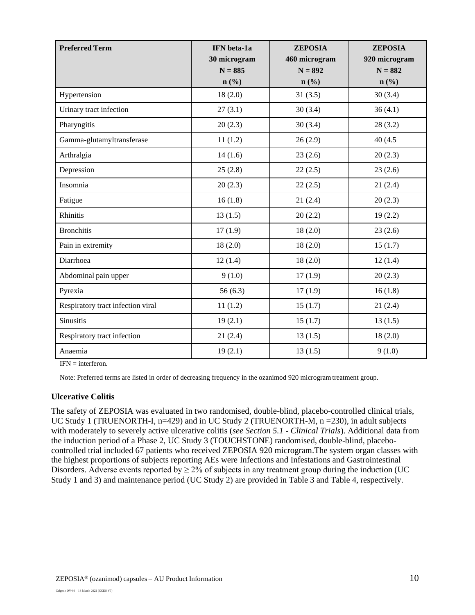| <b>Preferred Term</b>             | IFN beta-1a<br>30 microgram<br>$N = 885$ | <b>ZEPOSIA</b><br>460 microgram<br>$N = 892$ | <b>ZEPOSIA</b><br>920 microgram<br>$N = 882$ |
|-----------------------------------|------------------------------------------|----------------------------------------------|----------------------------------------------|
|                                   | $n$ (%)                                  | $n\left(\frac{0}{0}\right)$                  | $n\left(\frac{0}{0}\right)$                  |
| Hypertension                      | 18(2.0)                                  | 31(3.5)                                      | 30(3.4)                                      |
| Urinary tract infection           | 27(3.1)                                  | 30(3.4)                                      | 36(4.1)                                      |
| Pharyngitis                       | 20(2.3)                                  | 30(3.4)                                      | 28(3.2)                                      |
| Gamma-glutamyltransferase         | 11(1.2)                                  | 26(2.9)                                      | 40 (4.5)                                     |
| Arthralgia                        | 14(1.6)                                  | 23(2.6)                                      | 20(2.3)                                      |
| Depression                        | 25(2.8)                                  | 22(2.5)                                      | 23(2.6)                                      |
| Insomnia                          | 20(2.3)                                  | 22(2.5)                                      | 21(2.4)                                      |
| Fatigue                           | 16(1.8)                                  | 21(2.4)                                      | 20(2.3)                                      |
| Rhinitis                          | 13(1.5)                                  | 20(2.2)                                      | 19(2.2)                                      |
| <b>Bronchitis</b>                 | 17(1.9)                                  | 18(2.0)                                      | 23(2.6)                                      |
| Pain in extremity                 | 18(2.0)                                  | 18(2.0)                                      | 15(1.7)                                      |
| Diarrhoea                         | 12(1.4)                                  | 18(2.0)                                      | 12(1.4)                                      |
| Abdominal pain upper              | 9(1.0)                                   | 17(1.9)                                      | 20(2.3)                                      |
| Pyrexia                           | 56(6.3)                                  | 17(1.9)                                      | 16(1.8)                                      |
| Respiratory tract infection viral | 11(1.2)                                  | 15(1.7)                                      | 21(2.4)                                      |
| <b>Sinusitis</b>                  | 19(2.1)                                  | 15(1.7)                                      | 13(1.5)                                      |
| Respiratory tract infection       | 21(2.4)                                  | 13(1.5)                                      | 18(2.0)                                      |
| Anaemia                           | 19(2.1)                                  | 13(1.5)                                      | 9(1.0)                                       |

 $IFN =$  interferon.

Note: Preferred terms are listed in order of decreasing frequency in the ozanimod 920 microgramtreatment group.

#### **Ulcerative Colitis**

The safety of ZEPOSIA was evaluated in two randomised, double-blind, placebo-controlled clinical trials, UC Study 1 (TRUENORTH-I, n=429) and in UC Study 2 (TRUENORTH-M, n = 230), in adult subjects with moderately to severely active ulcerative colitis (*see Section 5.1 - Clinical Trials*). Additional data from the induction period of a Phase 2, UC Study 3 (TOUCHSTONE) randomised, double-blind, placebocontrolled trial included 67 patients who received ZEPOSIA 920 microgram.The system organ classes with the highest proportions of subjects reporting AEs were Infections and Infestations and Gastrointestinal Disorders. Adverse events reported by  $\geq 2\%$  of subjects in any treatment group during the induction (UC Study 1 and 3) and maintenance period (UC Study 2) are provided in Table 3 and Table 4, respectively.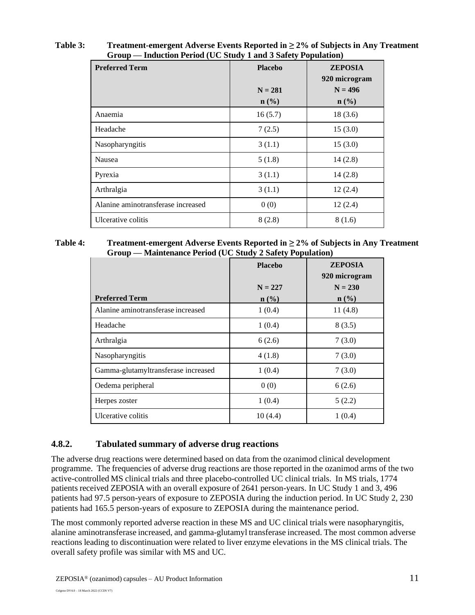| <b>Preferred Term</b>              | <b>Placebo</b>                | <b>ZEPOSIA</b><br>920 microgram |
|------------------------------------|-------------------------------|---------------------------------|
|                                    | $N = 281$<br>$\mathbf{n}(\%)$ | $N = 496$<br>$\mathbf{n}(\%)$   |
| Anaemia                            | 16(5.7)                       | 18(3.6)                         |
| Headache                           | 7(2.5)                        | 15(3.0)                         |
| Nasopharyngitis                    | 3(1.1)                        | 15(3.0)                         |
| Nausea                             | 5(1.8)                        | 14(2.8)                         |
| Pyrexia                            | 3(1.1)                        | 14(2.8)                         |
| Arthralgia                         | 3(1.1)                        | 12(2.4)                         |
| Alanine aminotransferase increased | 0(0)                          | 12(2.4)                         |
| Ulcerative colitis                 | 8(2.8)                        | 8(1.6)                          |

**Table 3: Treatment-emergent Adverse Events Reported in ≥ 2% of Subjects in Any Treatment Group — Induction Period (UC Study 1 and 3 Safety Population)**

#### **Table 4: Treatment-emergent Adverse Events Reported in ≥ 2% of Subjects in Any Treatment Group — Maintenance Period (UC Study 2 Safety Population)**

|                                     | <b>Placebo</b> | <b>ZEPOSIA</b><br>920 microgram |
|-------------------------------------|----------------|---------------------------------|
|                                     | $N = 227$      | $N = 230$                       |
| <b>Preferred Term</b>               | $n$ (%)        | $\mathbf{n}(\%)$                |
| Alanine aminotransferase increased  | 1(0.4)         | 11(4.8)                         |
| Headache                            | 1(0.4)         | 8(3.5)                          |
| Arthralgia                          | 6(2.6)         | 7(3.0)                          |
| Nasopharyngitis                     | 4(1.8)         | 7(3.0)                          |
| Gamma-glutamyltransferase increased | 1(0.4)         | 7(3.0)                          |
| Oedema peripheral                   | 0(0)           | 6(2.6)                          |
| Herpes zoster                       | 1(0.4)         | 5(2.2)                          |
| Ulcerative colitis                  | 10(4.4)        | 1(0.4)                          |

## **4.8.2. Tabulated summary of adverse drug reactions**

The adverse drug reactions were determined based on data from the ozanimod clinical development programme. The frequencies of adverse drug reactions are those reported in the ozanimod arms of the two active-controlled MS clinical trials and three placebo-controlled UC clinical trials. In MS trials, 1774 patients received ZEPOSIA with an overall exposure of 2641 person-years. In UC Study 1 and 3, 496 patients had 97.5 person-years of exposure to ZEPOSIA during the induction period. In UC Study 2, 230 patients had 165.5 person-years of exposure to ZEPOSIA during the maintenance period.

The most commonly reported adverse reaction in these MS and UC clinical trials were nasopharyngitis, alanine aminotransferase increased, and gamma-glutamyl transferase increased. The most common adverse reactions leading to discontinuation were related to liver enzyme elevations in the MS clinical trials. The overall safety profile was similar with MS and UC.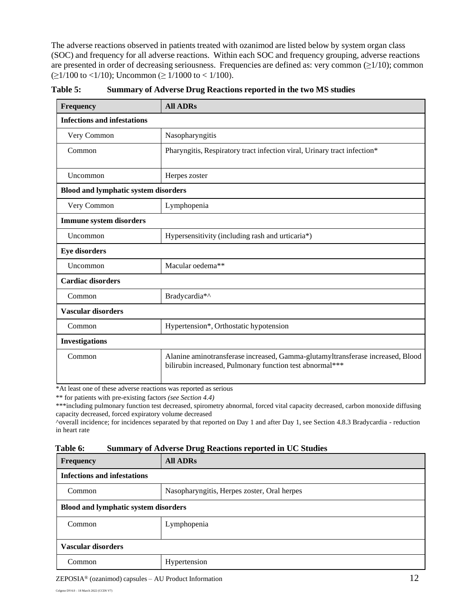The adverse reactions observed in patients treated with ozanimod are listed below by system organ class (SOC) and frequency for all adverse reactions. Within each SOC and frequency grouping, adverse reactions are presented in order of decreasing seriousness. Frequencies are defined as: very common  $(\geq 1/10)$ ; common  $(\geq 1/100 \text{ to } <1/10)$ ; Uncommon ( $\geq 1/1000 \text{ to } <1/100$ ).

| Frequency                                   | <b>All ADRs</b>                                                                                                                            |  |
|---------------------------------------------|--------------------------------------------------------------------------------------------------------------------------------------------|--|
| <b>Infections and infestations</b>          |                                                                                                                                            |  |
| Very Common                                 | Nasopharyngitis                                                                                                                            |  |
| Common                                      | Pharyngitis, Respiratory tract infection viral, Urinary tract infection*                                                                   |  |
| Uncommon                                    | Herpes zoster                                                                                                                              |  |
| <b>Blood and lymphatic system disorders</b> |                                                                                                                                            |  |
| Very Common                                 | Lymphopenia                                                                                                                                |  |
| <b>Immune system disorders</b>              |                                                                                                                                            |  |
| Uncommon                                    | Hypersensitivity (including rash and urticaria*)                                                                                           |  |
| <b>Eye disorders</b>                        |                                                                                                                                            |  |
| Uncommon                                    | Macular oedema**                                                                                                                           |  |
| <b>Cardiac disorders</b>                    |                                                                                                                                            |  |
| Common                                      | Bradycardia*^                                                                                                                              |  |
| <b>Vascular disorders</b>                   |                                                                                                                                            |  |
| Common                                      | Hypertension*, Orthostatic hypotension                                                                                                     |  |
| <b>Investigations</b>                       |                                                                                                                                            |  |
| Common                                      | Alanine aminotransferase increased, Gamma-glutamyltransferase increased, Blood<br>bilirubin increased, Pulmonary function test abnormal*** |  |

**Table 5: Summary of Adverse Drug Reactions reported in the two MS studies**

\*At least one of these adverse reactions was reported as serious

\*\* for patients with pre-existing factors *(see Section 4.4)*

\*\*\*including pulmonary function test decreased, spirometry abnormal, forced vital capacity decreased, carbon monoxide diffusing capacity decreased, forced expiratory volume decreased

^overall incidence; for incidences separated by that reported on Day 1 and after Day 1, see Section 4.8.3 Bradycardia - reduction in heart rate

#### **Table 6: Summary of Adverse Drug Reactions reported in UC Studies**

| <b>Frequency</b>                            | <b>All ADRs</b>                             |  |
|---------------------------------------------|---------------------------------------------|--|
| <b>Infections and infestations</b>          |                                             |  |
| Common                                      | Nasopharyngitis, Herpes zoster, Oral herpes |  |
| <b>Blood and lymphatic system disorders</b> |                                             |  |
| Lymphopenia<br>Common                       |                                             |  |
| <b>Vascular disorders</b>                   |                                             |  |
| Common                                      | Hypertension                                |  |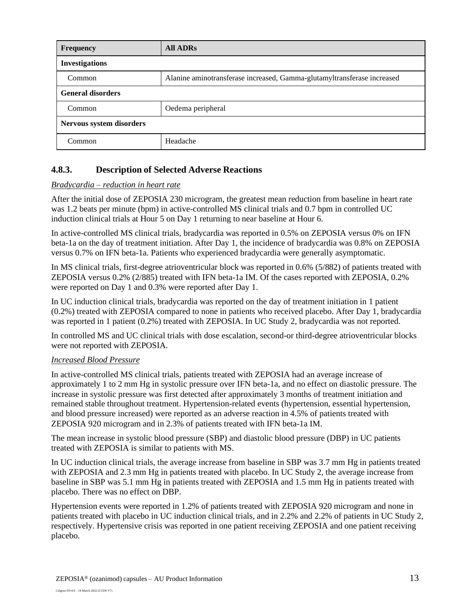| <b>Frequency</b>         | <b>All ADRs</b>                                                         |
|--------------------------|-------------------------------------------------------------------------|
| <b>Investigations</b>    |                                                                         |
| Common                   | Alanine aminotransferase increased, Gamma-glutamyltransferase increased |
| <b>General disorders</b> |                                                                         |
| Common                   | Oedema peripheral                                                       |
| Nervous system disorders |                                                                         |
| Common                   | Headache                                                                |

## **4.8.3. Description of Selected Adverse Reactions**

#### *Bradycardia – reduction in heart rate*

After the initial dose of ZEPOSIA 230 microgram, the greatest mean reduction from baseline in heart rate was 1.2 beats per minute (bpm) in active-controlled MS clinical trials and 0.7 bpm in controlled UC induction clinical trials at Hour 5 on Day 1 returning to near baseline at Hour 6.

In active-controlled MS clinical trials, bradycardia was reported in 0.5% on ZEPOSIA versus 0% on IFN beta-1a on the day of treatment initiation. After Day 1, the incidence of bradycardia was 0.8% on ZEPOSIA versus 0.7% on IFN beta-1a. Patients who experienced bradycardia were generally asymptomatic.

In MS clinical trials, first-degree atrioventricular block was reported in 0.6% (5/882) of patients treated with ZEPOSIA versus 0.2% (2/885) treated with IFN beta-1a IM. Of the cases reported with ZEPOSIA, 0.2% were reported on Day 1 and 0.3% were reported after Day 1.

In UC induction clinical trials, bradycardia was reported on the day of treatment initiation in 1 patient (0.2%) treated with ZEPOSIA compared to none in patients who received placebo. After Day 1, bradycardia was reported in 1 patient (0.2%) treated with ZEPOSIA. In UC Study 2, bradycardia was not reported.

In controlled MS and UC clinical trials with dose escalation, second-or third-degree atrioventricular blocks were not reported with ZEPOSIA.

#### *Increased Blood Pressure*

In active-controlled MS clinical trials, patients treated with ZEPOSIA had an average increase of approximately 1 to 2 mm Hg in systolic pressure over IFN beta-1a, and no effect on diastolic pressure. The increase in systolic pressure was first detected after approximately 3 months of treatment initiation and remained stable throughout treatment. Hypertension-related events (hypertension, essential hypertension, and blood pressure increased) were reported as an adverse reaction in 4.5% of patients treated with ZEPOSIA 920 microgram and in 2.3% of patients treated with IFN beta-1a IM.

The mean increase in systolic blood pressure (SBP) and diastolic blood pressure (DBP) in UC patients treated with ZEPOSIA is similar to patients with MS.

In UC induction clinical trials, the average increase from baseline in SBP was 3.7 mm Hg in patients treated with ZEPOSIA and 2.3 mm Hg in patients treated with placebo. In UC Study 2, the average increase from baseline in SBP was 5.1 mm Hg in patients treated with ZEPOSIA and 1.5 mm Hg in patients treated with placebo. There was no effect on DBP.

Hypertension events were reported in 1.2% of patients treated with ZEPOSIA 920 microgram and none in patients treated with placebo in UC induction clinical trials, and in 2.2% and 2.2% of patients in UC Study 2, respectively. Hypertensive crisis was reported in one patient receiving ZEPOSIA and one patient receiving placebo.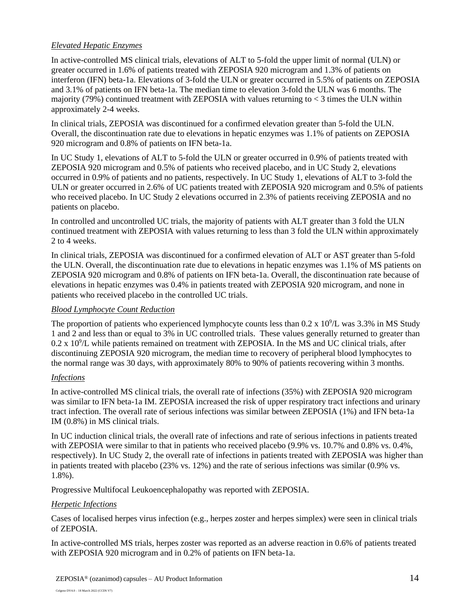#### *Elevated Hepatic Enzymes*

In active-controlled MS clinical trials, elevations of ALT to 5-fold the upper limit of normal (ULN) or greater occurred in 1.6% of patients treated with ZEPOSIA 920 microgram and 1.3% of patients on interferon (IFN) beta-1a. Elevations of 3-fold the ULN or greater occurred in 5.5% of patients on ZEPOSIA and 3.1% of patients on IFN beta-1a. The median time to elevation 3-fold the ULN was 6 months. The majority (79%) continued treatment with ZEPOSIA with values returning to  $\lt$  3 times the ULN within approximately 2-4 weeks.

In clinical trials, ZEPOSIA was discontinued for a confirmed elevation greater than 5-fold the ULN. Overall, the discontinuation rate due to elevations in hepatic enzymes was 1.1% of patients on ZEPOSIA 920 microgram and 0.8% of patients on IFN beta-1a.

In UC Study 1, elevations of ALT to 5-fold the ULN or greater occurred in 0.9% of patients treated with ZEPOSIA 920 microgram and 0.5% of patients who received placebo, and in UC Study 2, elevations occurred in 0.9% of patients and no patients, respectively. In UC Study 1, elevations of ALT to 3-fold the ULN or greater occurred in 2.6% of UC patients treated with ZEPOSIA 920 microgram and 0.5% of patients who received placebo. In UC Study 2 elevations occurred in 2.3% of patients receiving ZEPOSIA and no patients on placebo.

In controlled and uncontrolled UC trials, the majority of patients with ALT greater than 3 fold the ULN continued treatment with ZEPOSIA with values returning to less than 3 fold the ULN within approximately 2 to 4 weeks.

In clinical trials, ZEPOSIA was discontinued for a confirmed elevation of ALT or AST greater than 5-fold the ULN. Overall, the discontinuation rate due to elevations in hepatic enzymes was 1.1% of MS patients on ZEPOSIA 920 microgram and 0.8% of patients on IFN beta-1a. Overall, the discontinuation rate because of elevations in hepatic enzymes was 0.4% in patients treated with ZEPOSIA 920 microgram, and none in patients who received placebo in the controlled UC trials.

#### *Blood Lymphocyte Count Reduction*

The proportion of patients who experienced lymphocyte counts less than  $0.2 \times 10^9$ /L was  $3.3\%$  in MS Study 1 and 2 and less than or equal to 3% in UC controlled trials. These values generally returned to greater than  $0.2 \times 10^9$ /L while patients remained on treatment with ZEPOSIA. In the MS and UC clinical trials, after discontinuing ZEPOSIA 920 microgram, the median time to recovery of peripheral blood lymphocytes to the normal range was 30 days, with approximately 80% to 90% of patients recovering within 3 months.

#### *Infections*

In active-controlled MS clinical trials, the overall rate of infections (35%) with ZEPOSIA 920 microgram was similar to IFN beta-1a IM. ZEPOSIA increased the risk of upper respiratory tract infections and urinary tract infection. The overall rate of serious infections was similar between ZEPOSIA (1%) and IFN beta-1a IM (0.8%) in MS clinical trials.

In UC induction clinical trials, the overall rate of infections and rate of serious infections in patients treated with ZEPOSIA were similar to that in patients who received placebo (9.9% vs. 10.7% and 0.8% vs. 0.4%, respectively). In UC Study 2, the overall rate of infections in patients treated with ZEPOSIA was higher than in patients treated with placebo (23% vs. 12%) and the rate of serious infections was similar (0.9% vs. 1.8%).

Progressive Multifocal Leukoencephalopathy was reported with ZEPOSIA.

#### *Herpetic Infections*

Cases of localised herpes virus infection (e.g., herpes zoster and herpes simplex) were seen in clinical trials of ZEPOSIA.

In active-controlled MS trials, herpes zoster was reported as an adverse reaction in 0.6% of patients treated with ZEPOSIA 920 microgram and in 0.2% of patients on IFN beta-1a.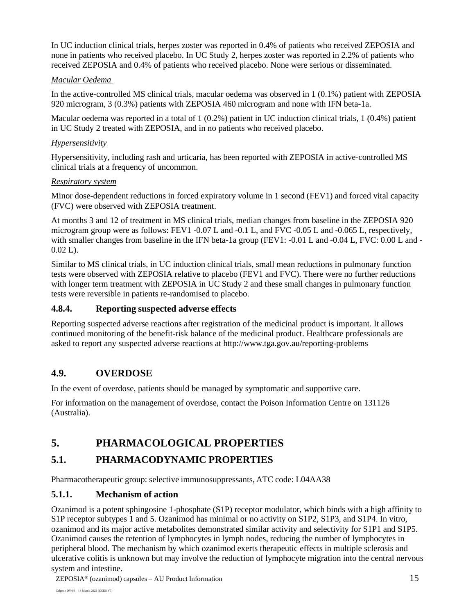In UC induction clinical trials, herpes zoster was reported in 0.4% of patients who received ZEPOSIA and none in patients who received placebo. In UC Study 2, herpes zoster was reported in 2.2% of patients who received ZEPOSIA and 0.4% of patients who received placebo. None were serious or disseminated.

#### *Macular Oedema*

In the active-controlled MS clinical trials, macular oedema was observed in 1 (0.1%) patient with ZEPOSIA 920 microgram, 3 (0.3%) patients with ZEPOSIA 460 microgram and none with IFN beta-1a.

Macular oedema was reported in a total of 1 (0.2%) patient in UC induction clinical trials, 1 (0.4%) patient in UC Study 2 treated with ZEPOSIA, and in no patients who received placebo.

### *Hypersensitivity*

Hypersensitivity, including rash and urticaria, has been reported with ZEPOSIA in active-controlled MS clinical trials at a frequency of uncommon.

#### *Respiratory system*

Minor dose-dependent reductions in forced expiratory volume in 1 second (FEV1) and forced vital capacity (FVC) were observed with ZEPOSIA treatment.

At months 3 and 12 of treatment in MS clinical trials, median changes from baseline in the ZEPOSIA 920 microgram group were as follows: FEV1 -0.07 L and -0.1 L, and FVC -0.05 L and -0.065 L, respectively, with smaller changes from baseline in the IFN beta-1a group (FEV1: -0.01 L and -0.04 L, FVC: 0.00 L and - $0.02$  L).

Similar to MS clinical trials, in UC induction clinical trials, small mean reductions in pulmonary function tests were observed with ZEPOSIA relative to placebo (FEV1 and FVC). There were no further reductions with longer term treatment with ZEPOSIA in UC Study 2 and these small changes in pulmonary function tests were reversible in patients re-randomised to placebo.

### **4.8.4. Reporting suspected adverse effects**

Reporting suspected adverse reactions after registration of the medicinal product is important. It allows continued monitoring of the benefit-risk balance of the medicinal product. Healthcare professionals are asked to report any suspected adverse reactions at <http://www.tga.gov.au/reporting-problems>

# **4.9. OVERDOSE**

In the event of overdose, patients should be managed by symptomatic and supportive care.

For information on the management of overdose, contact the Poison Information Centre on 131126 (Australia).

# **5. PHARMACOLOGICAL PROPERTIES**

# **5.1. PHARMACODYNAMIC PROPERTIES**

Pharmacotherapeutic group: selective immunosuppressants, ATC code: L04AA38

## **5.1.1. Mechanism of action**

Ozanimod is a potent sphingosine 1-phosphate (S1P) receptor modulator, which binds with a high affinity to S1P receptor subtypes 1 and 5. Ozanimod has minimal or no activity on S1P2, S1P3, and S1P4. In vitro, ozanimod and its major active metabolites demonstrated similar activity and selectivity for S1P1 and S1P5. Ozanimod causes the retention of lymphocytes in lymph nodes, reducing the number of lymphocytes in peripheral blood. The mechanism by which ozanimod exerts therapeutic effects in multiple sclerosis and ulcerative colitis is unknown but may involve the reduction of lymphocyte migration into the central nervous system and intestine.

ZEPOSIA® (ozanimod) capsules – AU Product Information 15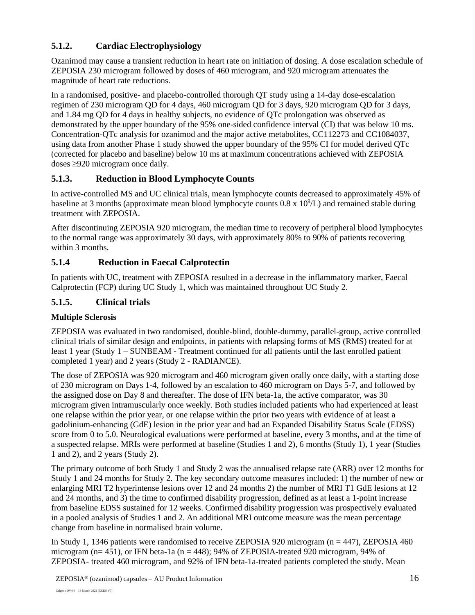# **5.1.2. Cardiac Electrophysiology**

Ozanimod may cause a transient reduction in heart rate on initiation of dosing. A dose escalation schedule of ZEPOSIA 230 microgram followed by doses of 460 microgram, and 920 microgram attenuates the magnitude of heart rate reductions.

In a randomised, positive- and placebo-controlled thorough QT study using a 14-day dose-escalation regimen of 230 microgram QD for 4 days, 460 microgram QD for 3 days, 920 microgram QD for 3 days, and 1.84 mg QD for 4 days in healthy subjects, no evidence of QTc prolongation was observed as demonstrated by the upper boundary of the 95% one-sided confidence interval (CI) that was below 10 ms. Concentration-QTc analysis for ozanimod and the major active metabolites, CC112273 and CC1084037, using data from another Phase 1 study showed the upper boundary of the 95% CI for model derived QTc (corrected for placebo and baseline) below 10 ms at maximum concentrations achieved with ZEPOSIA doses ≥920 microgram once daily.

# **5.1.3. Reduction in Blood Lymphocyte Counts**

In active-controlled MS and UC clinical trials, mean lymphocyte counts decreased to approximately 45% of baseline at 3 months (approximate mean blood lymphocyte counts  $0.8 \times 10^9$ /L) and remained stable during treatment with ZEPOSIA.

After discontinuing ZEPOSIA 920 microgram, the median time to recovery of peripheral blood lymphocytes to the normal range was approximately 30 days, with approximately 80% to 90% of patients recovering within 3 months.

# **5.1.4 Reduction in Faecal Calprotectin**

In patients with UC, treatment with ZEPOSIA resulted in a decrease in the inflammatory marker, Faecal Calprotectin (FCP) during UC Study 1, which was maintained throughout UC Study 2.

# **5.1.5. Clinical trials**

## **Multiple Sclerosis**

ZEPOSIA was evaluated in two randomised, double-blind, double-dummy, parallel-group, active controlled clinical trials of similar design and endpoints, in patients with relapsing forms of MS (RMS) treated for at least 1 year (Study 1 – SUNBEAM - Treatment continued for all patients until the last enrolled patient completed 1 year) and 2 years (Study 2 - RADIANCE).

The dose of ZEPOSIA was 920 microgram and 460 microgram given orally once daily, with a starting dose of 230 microgram on Days 1-4, followed by an escalation to 460 microgram on Days 5-7, and followed by the assigned dose on Day 8 and thereafter. The dose of IFN beta-1a, the active comparator, was 30 microgram given intramuscularly once weekly. Both studies included patients who had experienced at least one relapse within the prior year, or one relapse within the prior two years with evidence of at least a gadolinium-enhancing (GdE) lesion in the prior year and had an Expanded Disability Status Scale (EDSS) score from 0 to 5.0. Neurological evaluations were performed at baseline, every 3 months, and at the time of a suspected relapse. MRIs were performed at baseline (Studies 1 and 2), 6 months (Study 1), 1 year (Studies 1 and 2), and 2 years (Study 2).

The primary outcome of both Study 1 and Study 2 was the annualised relapse rate (ARR) over 12 months for Study 1 and 24 months for Study 2. The key secondary outcome measures included: 1) the number of new or enlarging MRI T2 hyperintense lesions over 12 and 24 months 2) the number of MRI T1 GdE lesions at 12 and 24 months, and 3) the time to confirmed disability progression, defined as at least a 1-point increase from baseline EDSS sustained for 12 weeks. Confirmed disability progression was prospectively evaluated in a pooled analysis of Studies 1 and 2. An additional MRI outcome measure was the mean percentage change from baseline in normalised brain volume.

In Study 1, 1346 patients were randomised to receive ZEPOSIA 920 microgram (n = 447), ZEPOSIA 460 microgram ( $n= 451$ ), or IFN beta-1a ( $n = 448$ ); 94% of ZEPOSIA-treated 920 microgram, 94% of ZEPOSIA- treated 460 microgram, and 92% of IFN beta-1a-treated patients completed the study. Mean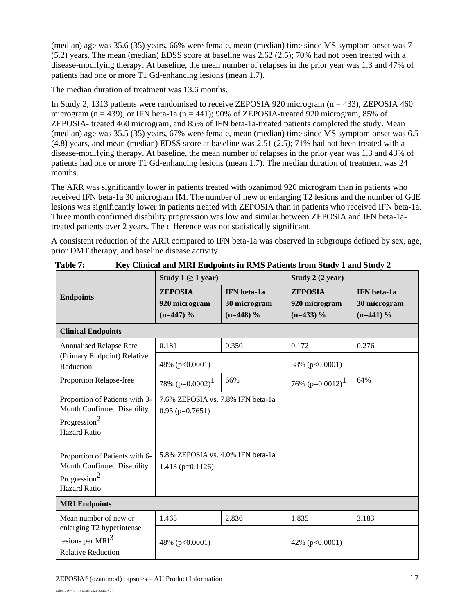(median) age was 35.6 (35) years, 66% were female, mean (median) time since MS symptom onset was 7 (5.2) years. The mean (median) EDSS score at baseline was 2.62 (2.5); 70% had not been treated with a disease-modifying therapy. At baseline, the mean number of relapses in the prior year was 1.3 and 47% of patients had one or more T1 Gd-enhancing lesions (mean 1.7).

The median duration of treatment was 13.6 months.

In Study 2, 1313 patients were randomised to receive ZEPOSIA 920 microgram (n = 433), ZEPOSIA 460 microgram ( $n = 439$ ), or IFN beta-1a ( $n = 441$ ); 90% of ZEPOSIA-treated 920 microgram, 85% of ZEPOSIA- treated 460 microgram, and 85% of IFN beta-1a-treated patients completed the study. Mean (median) age was 35.5 (35) years, 67% were female, mean (median) time since MS symptom onset was 6.5 (4.8) years, and mean (median) EDSS score at baseline was 2.51 (2.5); 71% had not been treated with a disease-modifying therapy. At baseline, the mean number of relapses in the prior year was 1.3 and 43% of patients had one or more T1 Gd-enhancing lesions (mean 1.7). The median duration of treatment was 24 months.

The ARR was significantly lower in patients treated with ozanimod 920 microgram than in patients who received IFN beta-1a 30 microgram IM. The number of new or enlarging T2 lesions and the number of GdE lesions was significantly lower in patients treated with ZEPOSIA than in patients who received IFN beta-1a. Three month confirmed disability progression was low and similar between ZEPOSIA and IFN beta-1atreated patients over 2 years. The difference was not statistically significant.

A consistent reduction of the ARR compared to IFN beta-1a was observed in subgroups defined by sex, age, prior DMT therapy, and baseline disease activity.

|                                                                                                                 | Study 1 $( \geq 1$ year)                                  |                                            | Study 2 (2 year)                               |                                            |
|-----------------------------------------------------------------------------------------------------------------|-----------------------------------------------------------|--------------------------------------------|------------------------------------------------|--------------------------------------------|
| <b>Endpoints</b>                                                                                                | <b>ZEPOSIA</b><br>920 microgram<br>$(n=447)$ %            | IFN beta-1a<br>30 microgram<br>$(n=448)$ % | <b>ZEPOSIA</b><br>920 microgram<br>$(n=433)$ % | IFN beta-1a<br>30 microgram<br>$(n=441)$ % |
| <b>Clinical Endpoints</b>                                                                                       |                                                           |                                            |                                                |                                            |
| <b>Annualised Relapse Rate</b>                                                                                  | 0.181                                                     | 0.350                                      | 0.172                                          | 0.276                                      |
| (Primary Endpoint) Relative<br>Reduction                                                                        | 48% (p<0.0001)                                            |                                            | 38% (p<0.0001)                                 |                                            |
| Proportion Relapse-free                                                                                         | 78% $(p=0.0002)^1$                                        | 66%                                        | 76% $(p=0.0012)^{1}$                           | 64%                                        |
| Proportion of Patients with 3-<br>Month Confirmed Disability<br>Progression <sup>2</sup><br><b>Hazard Ratio</b> | 7.6% ZEPOSIA vs. 7.8% IFN beta-1a<br>$0.95$ (p=0.7651)    |                                            |                                                |                                            |
| Proportion of Patients with 6-<br>Month Confirmed Disability<br>Progression <sup>2</sup><br><b>Hazard Ratio</b> | 5.8% ZEPOSIA vs. 4.0% IFN beta-1a<br>1.413 ( $p=0.1126$ ) |                                            |                                                |                                            |
| <b>MRI</b> Endpoints                                                                                            |                                                           |                                            |                                                |                                            |
| Mean number of new or                                                                                           | 1.465                                                     | 2.836                                      | 1.835                                          | 3.183                                      |
| enlarging T2 hyperintense<br>lesions per $MRI3$<br><b>Relative Reduction</b>                                    | 48% (p<0.0001)                                            |                                            | 42% (p<0.0001)                                 |                                            |

**Table 7: Key Clinical and MRI Endpoints in RMS Patients from Study 1 and Study 2**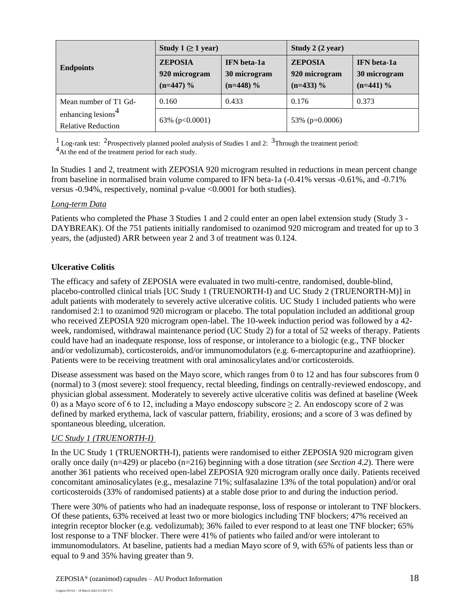|                                                             | Study 1 $(≥ 1$ year)                           |                                                   | Study 2 (2 year)                               |                                                   |
|-------------------------------------------------------------|------------------------------------------------|---------------------------------------------------|------------------------------------------------|---------------------------------------------------|
| <b>Endpoints</b>                                            | <b>ZEPOSIA</b><br>920 microgram<br>$(n=447)$ % | <b>IFN</b> beta-1a<br>30 microgram<br>$(n=448)$ % | <b>ZEPOSIA</b><br>920 microgram<br>$(n=433)$ % | <b>IFN</b> beta-1a<br>30 microgram<br>$(n=441)$ % |
| Mean number of T1 Gd-                                       | 0.160                                          | 0.433                                             | 0.176                                          | 0.373                                             |
| enhancing lesions <sup>4</sup><br><b>Relative Reduction</b> | 63% ( $p<0.0001$ )                             |                                                   | 53\% ( $p=0.0006$ )                            |                                                   |

<sup>1</sup> Log-rank test: <sup>2</sup>Prospectively planned pooled analysis of Studies 1 and 2: <sup>3</sup>Through the treatment period:

<sup>4</sup>At the end of the treatment period for each study.

In Studies 1 and 2, treatment with ZEPOSIA 920 microgram resulted in reductions in mean percent change from baseline in normalised brain volume compared to IFN beta-1a (-0.41% versus -0.61%, and -0.71% versus -0.94%, respectively, nominal p-value <0.0001 for both studies).

## *Long-term Data*

Patients who completed the Phase 3 Studies 1 and 2 could enter an open label extension study (Study 3 - DAYBREAK). Of the 751 patients initially randomised to ozanimod 920 microgram and treated for up to 3 years, the (adjusted) ARR between year 2 and 3 of treatment was 0.124.

## **Ulcerative Colitis**

The efficacy and safety of ZEPOSIA were evaluated in two multi-centre, randomised, double-blind, placebo-controlled clinical trials [UC Study 1 (TRUENORTH-I) and UC Study 2 (TRUENORTH-M)] in adult patients with moderately to severely active ulcerative colitis. UC Study 1 included patients who were randomised 2:1 to ozanimod 920 microgram or placebo. The total population included an additional group who received ZEPOSIA 920 microgram open-label. The 10-week induction period was followed by a 42 week, randomised, withdrawal maintenance period (UC Study 2) for a total of 52 weeks of therapy. Patients could have had an inadequate response, loss of response, or intolerance to a biologic (e.g., TNF blocker and/or vedolizumab), corticosteroids, and/or immunomodulators (e.g. 6-mercaptopurine and azathioprine). Patients were to be receiving treatment with oral aminosalicylates and/or corticosteroids.

Disease assessment was based on the Mayo score, which ranges from 0 to 12 and has four subscores from 0 (normal) to 3 (most severe): stool frequency, rectal bleeding, findings on centrally-reviewed endoscopy, and physician global assessment. Moderately to severely active ulcerative colitis was defined at baseline (Week 0) as a Mayo score of 6 to 12, including a Mayo endoscopy subscore  $\geq$  2. An endoscopy score of 2 was defined by marked erythema, lack of vascular pattern, friability, erosions; and a score of 3 was defined by spontaneous bleeding, ulceration.

# *UC Study 1 (TRUENORTH-I)*

In the UC Study 1 (TRUENORTH-I), patients were randomised to either ZEPOSIA 920 microgram given orally once daily (n=429) or placebo (n=216) beginning with a dose titration (*see Section 4.2*). There were another 361 patients who received open-label ZEPOSIA 920 microgram orally once daily. Patients received concomitant aminosalicylates (e.g., mesalazine 71%; sulfasalazine 13% of the total population) and/or oral corticosteroids (33% of randomised patients) at a stable dose prior to and during the induction period.

There were 30% of patients who had an inadequate response, loss of response or intolerant to TNF blockers. Of these patients, 63% received at least two or more biologics including TNF blockers; 47% received an integrin receptor blocker (e.g. vedolizumab); 36% failed to ever respond to at least one TNF blocker; 65% lost response to a TNF blocker. There were 41% of patients who failed and/or were intolerant to immunomodulators. At baseline, patients had a median Mayo score of 9, with 65% of patients less than or equal to 9 and 35% having greater than 9.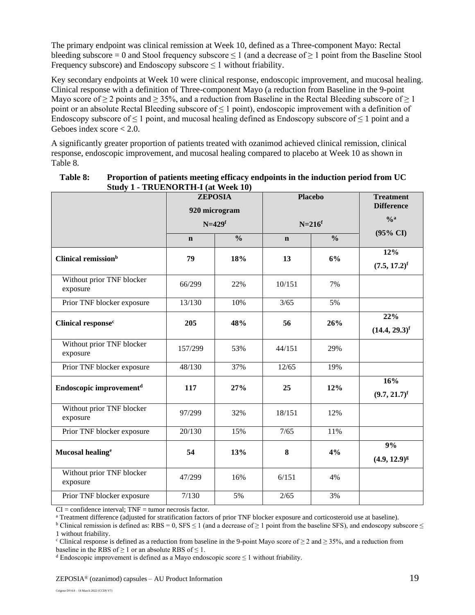The primary endpoint was clinical remission at Week 10, defined as a Three-component Mayo: Rectal bleeding subscore = 0 and Stool frequency subscore  $\leq 1$  (and a decrease of  $\geq 1$  point from the Baseline Stool Frequency subscore) and Endoscopy subscore  $\leq 1$  without friability.

Key secondary endpoints at Week 10 were clinical response, endoscopic improvement, and mucosal healing. Clinical response with a definition of Three-component Mayo (a reduction from Baseline in the 9-point Mayo score of  $\geq 2$  points and  $\geq 35\%$ , and a reduction from Baseline in the Rectal Bleeding subscore of  $\geq 1$ point or an absolute Rectal Bleeding subscore of  $\leq 1$  point), endoscopic improvement with a definition of Endoscopy subscore of  $\leq 1$  point, and mucosal healing defined as Endoscopy subscore of  $\leq 1$  point and a Geboes index score < 2.0.

A significantly greater proportion of patients treated with ozanimod achieved clinical remission, clinical response, endoscopic improvement, and mucosal healing compared to placebo at Week 10 as shown in Table 8.

|                                       | <b>ZEPOSIA</b><br>920 microgram<br>$N=429$ f |               | <b>Placebo</b><br>$N=216$ <sup>f</sup> |               | <b>Treatment</b><br><b>Difference</b><br>$\frac{0}{a}$ |
|---------------------------------------|----------------------------------------------|---------------|----------------------------------------|---------------|--------------------------------------------------------|
|                                       |                                              |               |                                        |               | $(95\% \text{ CI})$                                    |
|                                       | $\mathbf n$                                  | $\frac{0}{0}$ | $\mathbf n$                            | $\frac{0}{0}$ |                                                        |
| Clinical remission <sup>b</sup>       | 79                                           | 18%           | 13                                     | 6%            | 12%<br>$(7.5, 17.2)^f$                                 |
| Without prior TNF blocker<br>exposure | 66/299                                       | 22%           | 10/151                                 | 7%            |                                                        |
| Prior TNF blocker exposure            | 13/130                                       | 10%           | 3/65                                   | 5%            |                                                        |
| Clinical response <sup>c</sup>        | 205                                          | 48%           | 56                                     | 26%           | 22%<br>$(14.4, 29.3)^f$                                |
| Without prior TNF blocker<br>exposure | 157/299                                      | 53%           | 44/151                                 | 29%           |                                                        |
| Prior TNF blocker exposure            | 48/130                                       | 37%           | 12/65                                  | 19%           |                                                        |
| Endoscopic improvement <sup>d</sup>   | 117                                          | 27%           | 25                                     | 12%           | 16%<br>$(9.7, 21.7)^f$                                 |
| Without prior TNF blocker<br>exposure | 97/299                                       | 32%           | 18/151                                 | 12%           |                                                        |
| Prior TNF blocker exposure            | 20/130                                       | 15%           | 7/65                                   | 11%           |                                                        |
| Mucosal healing <sup>e</sup>          | 54                                           | 13%           | 8                                      | 4%            | 9%<br>$(4.9, 12.9)^g$                                  |
| Without prior TNF blocker<br>exposure | 47/299                                       | 16%           | 6/151                                  | 4%            |                                                        |
| Prior TNF blocker exposure            | 7/130                                        | 5%            | 2/65                                   | 3%            |                                                        |

#### **Table 8: Proportion of patients meeting efficacy endpoints in the induction period from UC Study 1 - TRUENORTH-I (at Week 10)**

 $CI = confidence$  interval;  $TNF =$  tumor necrosis factor.

<sup>a</sup> Treatment difference (adjusted for stratification factors of prior TNF blocker exposure and corticosteroid use at baseline).

<sup>b</sup> Clinical remission is defined as: RBS = 0, SFS  $\leq$  1 (and a decrease of  $\geq$  1 point from the baseline SFS), and endoscopy subscore  $\leq$ 1 without friability.

<sup>c</sup> Clinical response is defined as a reduction from baseline in the 9-point Mayo score of  $\geq 2$  and  $\geq 35\%$ , and a reduction from baseline in the RBS of  $\geq 1$  or an absolute RBS of  $\leq 1$ .

 $d$  Endoscopic improvement is defined as a Mayo endoscopic score  $\leq 1$  without friability.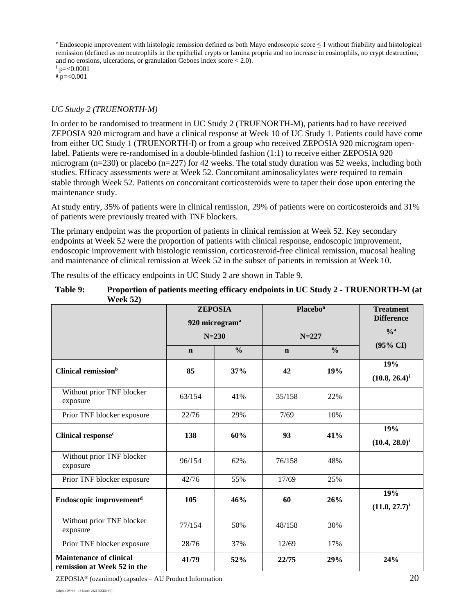$e$  Endoscopic improvement with histologic remission defined as both Mayo endoscopic score  $\leq 1$  without friability and histological remission (defined as no neutrophils in the epithelial crypts or lamina propria and no increase in eosinophils, no crypt destruction, and no erosions, ulcerations, or granulation Geboes index score < 2.0).

 $f$  p= $<$ 0.0001

 $g = 0.001$ 

#### *UC Study 2 (TRUENORTH-M)*

In order to be randomised to treatment in UC Study 2 (TRUENORTH-M), patients had to have received ZEPOSIA 920 microgram and have a clinical response at Week 10 of UC Study 1. Patients could have come from either UC Study 1 (TRUENORTH-I) or from a group who received ZEPOSIA 920 microgram openlabel. Patients were re-randomised in a double-blinded fashion (1:1) to receive either ZEPOSIA 920 microgram (n=230) or placebo (n=227) for 42 weeks. The total study duration was 52 weeks, including both studies. Efficacy assessments were at Week 52. Concomitant aminosalicylates were required to remain stable through Week 52. Patients on concomitant corticosteroids were to taper their dose upon entering the maintenance study.

At study entry, 35% of patients were in clinical remission, 29% of patients were on corticosteroids and 31% of patients were previously treated with TNF blockers.

The primary endpoint was the proportion of patients in clinical remission at Week 52. Key secondary endpoints at Week 52 were the proportion of patients with clinical response, endoscopic improvement, endoscopic improvement with histologic remission, corticosteroid-free clinical remission, mucosal healing and maintenance of clinical remission at Week 52 in the subset of patients in remission at Week 10.

The results of the efficacy endpoints in UC Study 2 are shown in Table 9.

| Table 9: | Proportion of patients meeting efficacy endpoints in UC Study 2 - TRUENORTH-M (at |
|----------|-----------------------------------------------------------------------------------|
|          | <b>Week 52)</b>                                                                   |

|                                                               | <b>ZEPOSIA</b><br>920 microgram <sup>a</sup><br>$N = 230$ |               | <b>Placebo</b> <sup>a</sup><br>$N = 227$ |               | <b>Treatment</b><br><b>Difference</b> |
|---------------------------------------------------------------|-----------------------------------------------------------|---------------|------------------------------------------|---------------|---------------------------------------|
|                                                               |                                                           |               |                                          |               | $\frac{0}{a}$                         |
|                                                               | $\mathbf n$                                               | $\frac{0}{0}$ | $\mathbf n$                              | $\frac{0}{0}$ | $(95\% \text{ CI})$                   |
| Clinical remission <sup>b</sup>                               | 85                                                        | 37%           | 42                                       | 19%           | 19%<br>$(10.8, 26.4)^i$               |
| Without prior TNF blocker<br>exposure                         | 63/154                                                    | 41%           | 35/158                                   | 22%           |                                       |
| Prior TNF blocker exposure                                    | 22/76                                                     | 29%           | 7/69                                     | 10%           |                                       |
| Clinical response <sup>c</sup>                                | 138                                                       | 60%           | 93                                       | 41%           | 19%<br>$(10.4, 28.0)^i$               |
| Without prior TNF blocker<br>exposure                         | 96/154                                                    | 62%           | 76/158                                   | 48%           |                                       |
| Prior TNF blocker exposure                                    | 42/76                                                     | 55%           | 17/69                                    | 25%           |                                       |
| Endoscopic improvement <sup>d</sup>                           | 105                                                       | 46%           | 60                                       | 26%           | 19%<br>$(11.0, 27.7)^{i}$             |
| Without prior TNF blocker<br>exposure                         | 77/154                                                    | 50%           | 48/158                                   | 30%           |                                       |
| Prior TNF blocker exposure                                    | 28/76                                                     | 37%           | 12/69                                    | 17%           |                                       |
| <b>Maintenance of clinical</b><br>remission at Week 52 in the | 41/79                                                     | 52%           | 22/75                                    | 29%           | 24%                                   |

 $ZEPOSIA<sup>®</sup>$  (ozanimod) capsules – AU Product Information 20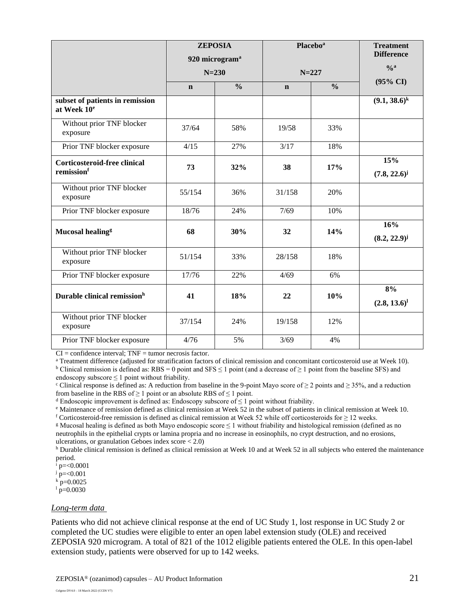|                                                            | <b>ZEPOSIA</b><br>920 microgram <sup>a</sup><br>$N = 230$ |               | <b>Placebo</b> <sup>a</sup><br>$N = 227$ |               | <b>Treatment</b><br><b>Difference</b> |
|------------------------------------------------------------|-----------------------------------------------------------|---------------|------------------------------------------|---------------|---------------------------------------|
|                                                            |                                                           |               |                                          |               | $\frac{6}{9}$                         |
|                                                            |                                                           |               |                                          |               | $(95\% \text{ CI})$                   |
|                                                            | $\mathbf n$                                               | $\frac{0}{0}$ | $\mathbf n$                              | $\frac{0}{0}$ |                                       |
| subset of patients in remission<br>at Week 10 <sup>e</sup> |                                                           |               |                                          |               | $(9.1, 38.6)^k$                       |
| Without prior TNF blocker<br>exposure                      | 37/64                                                     | 58%           | 19/58                                    | 33%           |                                       |
| Prior TNF blocker exposure                                 | 4/15                                                      | 27%           | 3/17                                     | 18%           |                                       |
| <b>Corticosteroid-free clinical</b><br>remissionf          | 73                                                        | 32%           | 38                                       | 17%           | 15%<br>$(7.8, 22.6)^{j}$              |
| Without prior TNF blocker<br>exposure                      | 55/154                                                    | 36%           | 31/158                                   | 20%           |                                       |
| Prior TNF blocker exposure                                 | 18/76                                                     | 24%           | 7/69                                     | 10%           |                                       |
| Mucosal healing <sup>g</sup>                               | 68                                                        | 30%           | 32                                       | 14%           | 16%<br>$(8.2, 22.9)^{j}$              |
| Without prior TNF blocker<br>exposure                      | 51/154                                                    | 33%           | 28/158                                   | 18%           |                                       |
| Prior TNF blocker exposure                                 | 17/76                                                     | 22%           | 4/69                                     | 6%            |                                       |
| Durable clinical remission <sup>h</sup>                    | 41                                                        | 18%           | 22                                       | 10%           | 8%<br>$(2.8, 13.6)^{1}$               |
| Without prior TNF blocker<br>exposure                      | 37/154                                                    | 24%           | 19/158                                   | 12%           |                                       |
| Prior TNF blocker exposure                                 | 4/76                                                      | 5%            | 3/69                                     | 4%            |                                       |

 $CI = confidence$  interval;  $TNF =$  tumor necrosis factor.

<sup>a</sup> Treatment difference (adjusted for stratification factors of clinical remission and concomitant corticosteroid use at Week 10).

<sup>b</sup> Clinical remission is defined as: RBS = 0 point and SFS  $\leq$  1 point (and a decrease of  $\geq$  1 point from the baseline SFS) and endoscopy subscore ≤ 1 point without friability.

<sup>c</sup> Clinical response is defined as: A reduction from baseline in the 9-point Mayo score of  $\geq 2$  points and  $\geq 35\%$ , and a reduction from baseline in the RBS of  $\geq 1$  point or an absolute RBS of  $\leq 1$  point.

<sup>d</sup> Endoscopic improvement is defined as: Endoscopy subscore of  $\leq 1$  point without friability.

<sup>e</sup> Maintenance of remission defined as clinical remission at Week 52 in the subset of patients in clinical remission at Week 10. f Corticosteroid-free remission is defined as clinical remission at Week 52 while off corticosteroids for  $\geq$  12 weeks.

<sup>g</sup> Mucosal healing is defined as both Mayo endoscopic score  $\leq 1$  without friability and histological remission (defined as no neutrophils in the epithelial crypts or lamina propria and no increase in eosinophils, no crypt destruction, and no erosions, ulcerations, or granulation Geboes index score < 2.0)

 $h$  Durable clinical remission is defined as clinical remission at Week 10 and at Week 52 in all subjects who entered the maintenance period.

p=<0.0001

 $\bar{p} = 0.001$ 

 $k$  p=0.0025

 $\ln \left( \frac{1}{p} \right) = 0.0030$ 

#### *Long-term data*

Patients who did not achieve clinical response at the end of UC Study 1, lost response in UC Study 2 or completed the UC studies were eligible to enter an open label extension study (OLE) and received ZEPOSIA 920 microgram. A total of 821 of the 1012 eligible patients entered the OLE. In this open-label extension study, patients were observed for up to 142 weeks.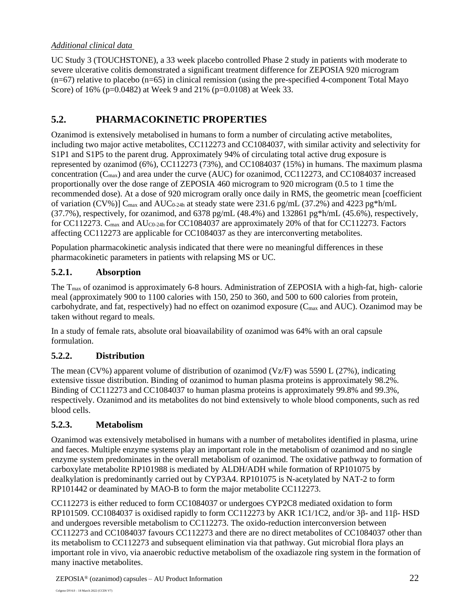## *Additional clinical data*

UC Study 3 (TOUCHSTONE), a 33 week placebo controlled Phase 2 study in patients with moderate to severe ulcerative colitis demonstrated a significant treatment difference for ZEPOSIA 920 microgram  $(n=67)$  relative to placebo  $(n=65)$  in clinical remission (using the pre-specified 4-component Total Mayo Score) of 16% (p=0.0482) at Week 9 and 21% (p=0.0108) at Week 33.

# **5.2. PHARMACOKINETIC PROPERTIES**

Ozanimod is extensively metabolised in humans to form a number of circulating active metabolites, including two major active metabolites, CC112273 and CC1084037, with similar activity and selectivity for S1P1 and S1P5 to the parent drug. Approximately 94% of circulating total active drug exposure is represented by ozanimod (6%), CC112273 (73%), and CC1084037 (15%) in humans. The maximum plasma concentration  $(C_{\text{max}})$  and area under the curve (AUC) for ozanimod, CC112273, and CC1084037 increased proportionally over the dose range of ZEPOSIA 460 microgram to 920 microgram (0.5 to 1 time the recommended dose). At a dose of 920 microgram orally once daily in RMS, the geometric mean [coefficient of variation (CV%)]  $C_{\text{max}}$  and AUC<sub>0-24h</sub> at steady state were 231.6 pg/mL (37.2%) and 4223 pg\*h/mL (37.7%), respectively, for ozanimod, and 6378 pg/mL (48.4%) and 132861 pg\*h/mL (45.6%), respectively, for CC112273. C<sub>max</sub> and AU<sub>C0-24h</sub> for CC1084037 are approximately 20% of that for CC112273. Factors affecting CC112273 are applicable for CC1084037 as they are interconverting metabolites.

Population pharmacokinetic analysis indicated that there were no meaningful differences in these pharmacokinetic parameters in patients with relapsing MS or UC.

## **5.2.1. Absorption**

The Tmax of ozanimod is approximately 6-8 hours. Administration of ZEPOSIA with a high-fat, high- calorie meal (approximately 900 to 1100 calories with 150, 250 to 360, and 500 to 600 calories from protein, carbohydrate, and fat, respectively) had no effect on ozanimod exposure (C<sub>max</sub> and AUC). Ozanimod may be taken without regard to meals.

In a study of female rats, absolute oral bioavailability of ozanimod was 64% with an oral capsule formulation.

## **5.2.2. Distribution**

The mean (CV%) apparent volume of distribution of ozanimod (Vz/F) was 5590 L (27%), indicating extensive tissue distribution. Binding of ozanimod to human plasma proteins is approximately 98.2%. Binding of CC112273 and CC1084037 to human plasma proteins is approximately 99.8% and 99.3%, respectively. Ozanimod and its metabolites do not bind extensively to whole blood components, such as red blood cells.

## **5.2.3. Metabolism**

Ozanimod was extensively metabolised in humans with a number of metabolites identified in plasma, urine and faeces. Multiple enzyme systems play an important role in the metabolism of ozanimod and no single enzyme system predominates in the overall metabolism of ozanimod. The oxidative pathway to formation of carboxylate metabolite RP101988 is mediated by ALDH/ADH while formation of RP101075 by dealkylation is predominantly carried out by CYP3A4. RP101075 is N-acetylated by NAT-2 to form RP101442 or deaminated by MAO-B to form the major metabolite CC112273.

CC112273 is either reduced to form CC1084037 or undergoes CYP2C8 mediated oxidation to form RP101509. CC1084037 is oxidised rapidly to form CC112273 by AKR 1C1/1C2, and/or 3β- and 11β- HSD and undergoes reversible metabolism to CC112273. The oxido-reduction interconversion between CC112273 and CC1084037 favours CC112273 and there are no direct metabolites of CC1084037 other than its metabolism to CC112273 and subsequent elimination via that pathway. Gut microbial flora plays an important role in vivo, via anaerobic reductive metabolism of the oxadiazole ring system in the formation of many inactive metabolites.

ZEPOSIA® (ozanimod) capsules – AU Product Information 22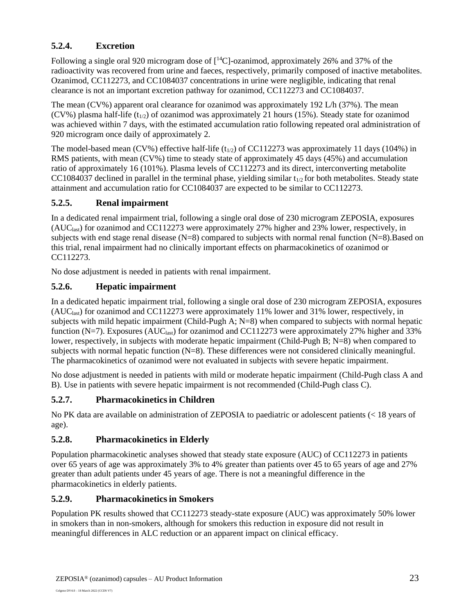## **5.2.4. Excretion**

Following a single oral 920 microgram dose of  $[^{14}C]$ -ozanimod, approximately 26% and 37% of the radioactivity was recovered from urine and faeces, respectively, primarily composed of inactive metabolites. Ozanimod, CC112273, and CC1084037 concentrations in urine were negligible, indicating that renal clearance is not an important excretion pathway for ozanimod, CC112273 and CC1084037.

The mean (CV%) apparent oral clearance for ozanimod was approximately 192 L/h (37%). The mean (CV%) plasma half-life ( $t_{1/2}$ ) of ozanimod was approximately 21 hours (15%). Steady state for ozanimod was achieved within 7 days, with the estimated accumulation ratio following repeated oral administration of 920 microgram once daily of approximately 2.

The model-based mean (CV%) effective half-life ( $t_{1/2}$ ) of CC112273 was approximately 11 days (104%) in RMS patients, with mean (CV%) time to steady state of approximately 45 days (45%) and accumulation ratio of approximately 16 (101%). Plasma levels of CC112273 and its direct, interconverting metabolite CC1084037 declined in parallel in the terminal phase, yielding similar  $t_{1/2}$  for both metabolites. Steady state attainment and accumulation ratio for CC1084037 are expected to be similar to CC112273.

## **5.2.5. Renal impairment**

In a dedicated renal impairment trial, following a single oral dose of 230 microgram ZEPOSIA, exposures  $(AUC<sub>last</sub>)$  for ozanimod and CC112273 were approximately 27% higher and 23% lower, respectively, in subjects with end stage renal disease (N=8) compared to subjects with normal renal function (N=8).Based on this trial, renal impairment had no clinically important effects on pharmacokinetics of ozanimod or CC112273.

No dose adjustment is needed in patients with renal impairment.

# **5.2.6. Hepatic impairment**

In a dedicated hepatic impairment trial, following a single oral dose of 230 microgram ZEPOSIA, exposures  $(AUC<sub>last</sub>)$  for ozanimod and CC112273 were approximately 11% lower and 31% lower, respectively, in subjects with mild hepatic impairment (Child-Pugh A; N=8) when compared to subjects with normal hepatic function (N=7). Exposures (AUC<sub>last</sub>) for ozanimod and CC112273 were approximately 27% higher and 33% lower, respectively, in subjects with moderate hepatic impairment (Child-Pugh B; N=8) when compared to subjects with normal hepatic function (N=8). These differences were not considered clinically meaningful. The pharmacokinetics of ozanimod were not evaluated in subjects with severe hepatic impairment.

No dose adjustment is needed in patients with mild or moderate hepatic impairment (Child-Pugh class A and B). Use in patients with severe hepatic impairment is not recommended (Child-Pugh class C).

## **5.2.7. Pharmacokineticsin Children**

No PK data are available on administration of ZEPOSIA to paediatric or adolescent patients (< 18 years of age).

# **5.2.8. Pharmacokinetics in Elderly**

Population pharmacokinetic analyses showed that steady state exposure (AUC) of CC112273 in patients over 65 years of age was approximately 3% to 4% greater than patients over 45 to 65 years of age and 27% greater than adult patients under 45 years of age. There is not a meaningful difference in the pharmacokinetics in elderly patients.

## **5.2.9. Pharmacokineticsin Smokers**

Population PK results showed that CC112273 steady-state exposure (AUC) was approximately 50% lower in smokers than in non-smokers, although for smokers this reduction in exposure did not result in meaningful differences in ALC reduction or an apparent impact on clinical efficacy.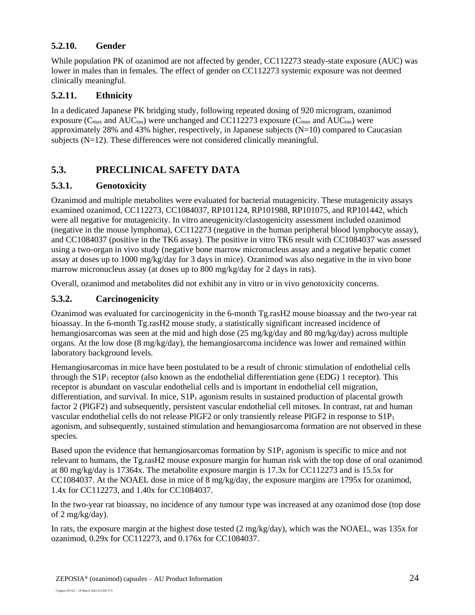## **5.2.10. Gender**

While population PK of ozanimod are not affected by gender, CC112273 steady-state exposure (AUC) was lower in males than in females. The effect of gender on CC112273 systemic exposure was not deemed clinically meaningful.

## **5.2.11. Ethnicity**

In a dedicated Japanese PK bridging study, following repeated dosing of 920 microgram, ozanimod exposure ( $C_{\text{max}}$  and  $AUC_{\text{tau}}$ ) were unchanged and CC112273 exposure ( $C_{\text{max}}$  and  $AUC_{\text{tau}}$ ) were approximately 28% and 43% higher, respectively, in Japanese subjects (N=10) compared to Caucasian subjects (N=12). These differences were not considered clinically meaningful.

# **5.3. PRECLINICAL SAFETY DATA**

## **5.3.1. Genotoxicity**

Ozanimod and multiple metabolites were evaluated for bacterial mutagenicity. These mutagenicity assays examined ozanimod, CC112273, CC1084037, RP101124, RP101988, RP101075, and RP101442, which were all negative for mutagenicity. In vitro aneugenicity/clastogenicity assessment included ozanimod (negative in the mouse lymphoma), CC112273 (negative in the human peripheral blood lymphocyte assay), and CC1084037 (positive in the TK6 assay). The positive in vitro TK6 result with CC1084037 was assessed using a two-organ in vivo study (negative bone marrow micronucleus assay and a negative hepatic comet assay at doses up to 1000 mg/kg/day for 3 days in mice). Ozanimod was also negative in the in vivo bone marrow micronucleus assay (at doses up to 800 mg/kg/day for 2 days in rats).

Overall, ozanimod and metabolites did not exhibit any in vitro or in vivo genotoxicity concerns.

## **5.3.2. Carcinogenicity**

Ozanimod was evaluated for carcinogenicity in the 6-month Tg.rasH2 mouse bioassay and the two-year rat bioassay. In the 6-month Tg.rasH2 mouse study, a statistically significant increased incidence of hemangiosarcomas was seen at the mid and high dose (25 mg/kg/day and 80 mg/kg/day) across multiple organs. At the low dose  $(8 \text{ mg/kg/day})$ , the hemangiosarcoma incidence was lower and remained within laboratory background levels.

Hemangiosarcomas in mice have been postulated to be a result of chronic stimulation of endothelial cells through the  $S1P_1$  receptor (also known as the endothelial differentiation gene (EDG) 1 receptor). This receptor is abundant on vascular endothelial cells and is important in endothelial cell migration, differentiation, and survival. In mice,  $S1P_1$  agonism results in sustained production of placental growth factor 2 (PlGF2) and subsequently, persistent vascular endothelial cell mitoses. In contrast, rat and human vascular endothelial cells do not release PlGF2 or only transiently release PlGF2 in response to S1P<sup>1</sup> agonism, and subsequently, sustained stimulation and hemangiosarcoma formation are not observed in these species.

Based upon the evidence that hemangiosarcomas formation by  $S1P_1$  agonism is specific to mice and not relevant to humans, the Tg.rasH2 mouse exposure margin for human risk with the top dose of oral ozanimod at 80 mg/kg/day is 17364x. The metabolite exposure margin is 17.3x for CC112273 and is 15.5x for CC1084037. At the NOAEL dose in mice of 8 mg/kg/day, the exposure margins are 1795x for ozanimod, 1.4x for CC112273, and 1.40x for CC1084037.

In the two-year rat bioassay, no incidence of any tumour type was increased at any ozanimod dose (top dose of 2 mg/kg/day).

In rats, the exposure margin at the highest dose tested (2 mg/kg/day), which was the NOAEL, was 135x for ozanimod, 0.29x for CC112273, and 0.176x for CC1084037.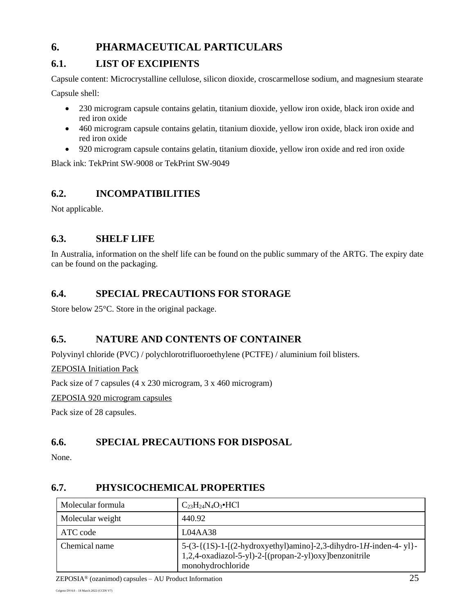# **6. PHARMACEUTICAL PARTICULARS**

# **6.1. LIST OF EXCIPIENTS**

Capsule content: Microcrystalline cellulose, silicon dioxide, croscarmellose sodium, and magnesium stearate Capsule shell:

- 230 microgram capsule contains gelatin, titanium dioxide, yellow iron oxide, black iron oxide and red iron oxide
- 460 microgram capsule contains gelatin, titanium dioxide, yellow iron oxide, black iron oxide and red iron oxide
- 920 microgram capsule contains gelatin, titanium dioxide, yellow iron oxide and red iron oxide

Black ink: TekPrint SW-9008 or TekPrint SW-9049

# **6.2. INCOMPATIBILITIES**

Not applicable.

# **6.3. SHELF LIFE**

In Australia, information on the shelf life can be found on the public summary of the ARTG. The expiry date can be found on the packaging.

# **6.4. SPECIAL PRECAUTIONS FOR STORAGE**

Store below 25°C. Store in the original package.

# **6.5. NATURE AND CONTENTS OF CONTAINER**

Polyvinyl chloride (PVC) / polychlorotrifluoroethylene (PCTFE) / aluminium foil blisters.

### ZEPOSIA Initiation Pack

Pack size of 7 capsules (4 x 230 microgram, 3 x 460 microgram)

ZEPOSIA 920 microgram capsules

Pack size of 28 capsules.

# **6.6. SPECIAL PRECAUTIONS FOR DISPOSAL**

None.

# **6.7. PHYSICOCHEMICAL PROPERTIES**

| Molecular formula | $C_{23}H_{24}N_{4}O_{3}$ •HCl                                                                                                                      |
|-------------------|----------------------------------------------------------------------------------------------------------------------------------------------------|
| Molecular weight  | 440.92                                                                                                                                             |
| ATC code          | L04A438                                                                                                                                            |
| Chemical name     | $5-(3-{(1S)-1-[(2-hydroxyethyl)amino]-2,3-dihydro-1H-inden-4-y1}$ -<br>1,2,4-oxadiazol-5-yl)-2-[(propan-2-yl)oxy]benzonitrile<br>monohydrochloride |

ZEPOSIA® (ozanimod) capsules – AU Product Information 25